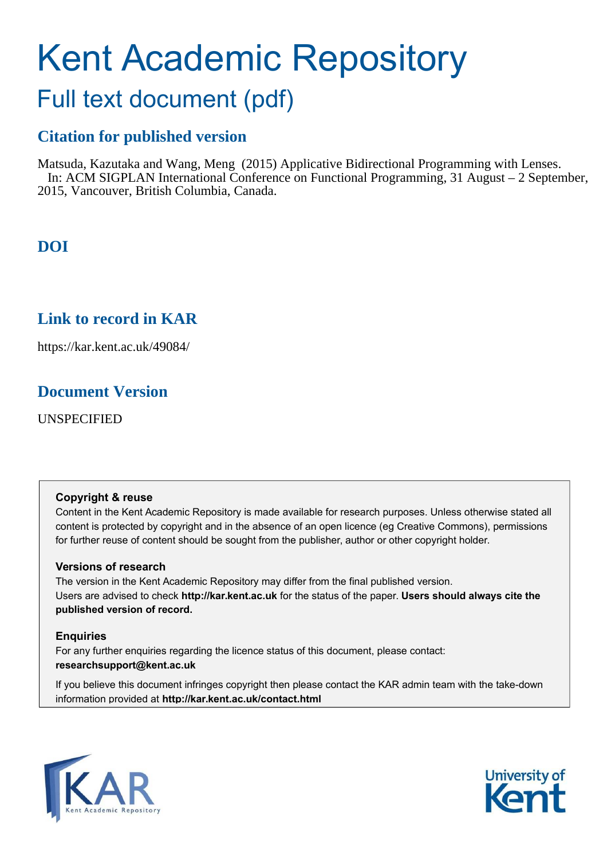# Kent Academic Repository

## Full text document (pdf)

## **Citation for published version**

Matsuda, Kazutaka and Wang, Meng (2015) Applicative Bidirectional Programming with Lenses. In: ACM SIGPLAN International Conference on Functional Programming, 31 August – 2 September, 2015, Vancouver, British Columbia, Canada.

## **DOI**

## **Link to record in KAR**

https://kar.kent.ac.uk/49084/

## **Document Version**

UNSPECIFIED

#### **Copyright & reuse**

Content in the Kent Academic Repository is made available for research purposes. Unless otherwise stated all content is protected by copyright and in the absence of an open licence (eg Creative Commons), permissions for further reuse of content should be sought from the publisher, author or other copyright holder.

#### **Versions of research**

The version in the Kent Academic Repository may differ from the final published version. Users are advised to check **http://kar.kent.ac.uk** for the status of the paper. **Users should always cite the published version of record.**

#### **Enquiries**

For any further enquiries regarding the licence status of this document, please contact: **researchsupport@kent.ac.uk**

If you believe this document infringes copyright then please contact the KAR admin team with the take-down information provided at **http://kar.kent.ac.uk/contact.html**



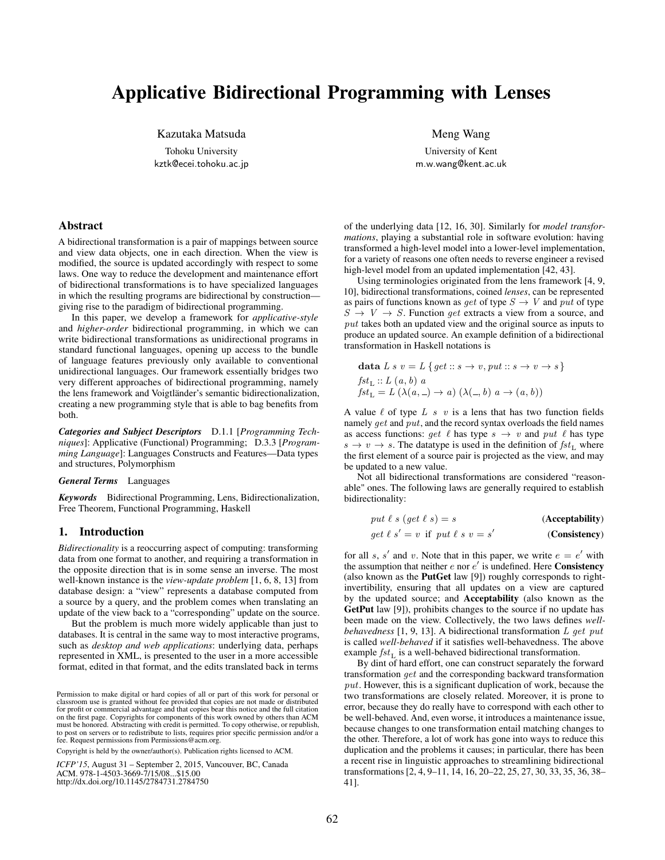### Applicative Bidirectional Programming with Lenses

Kazutaka Matsuda

Tohoku University kztk@ecei.tohoku.ac.jp Meng Wang

University of Kent m.w.wang@kent.ac.uk

#### Abstract

A bidirectional transformation is a pair of mappings between source and view data objects, one in each direction. When the view is modified, the source is updated accordingly with respect to some laws. One way to reduce the development and maintenance effort of bidirectional transformations is to have specialized languages in which the resulting programs are bidirectional by construction giving rise to the paradigm of bidirectional programming.

In this paper, we develop a framework for *applicative-style* and *higher-order* bidirectional programming, in which we can write bidirectional transformations as unidirectional programs in standard functional languages, opening up access to the bundle of language features previously only available to conventional unidirectional languages. Our framework essentially bridges two very different approaches of bidirectional programming, namely the lens framework and Voigtländer's semantic bidirectionalization, creating a new programming style that is able to bag benefits from both.

*Categories and Subject Descriptors* D.1.1 [*Programming Techniques*]: Applicative (Functional) Programming; D.3.3 [*Programming Language*]: Languages Constructs and Features—Data types and structures, Polymorphism

#### *General Terms* Languages

*Keywords* Bidirectional Programming, Lens, Bidirectionalization, Free Theorem, Functional Programming, Haskell

#### 1. Introduction

*Bidirectionality* is a reoccurring aspect of computing: transforming data from one format to another, and requiring a transformation in the opposite direction that is in some sense an inverse. The most well-known instance is the *view-update problem* [1, 6, 8, 13] from database design: a "view" represents a database computed from a source by a query, and the problem comes when translating an update of the view back to a "corresponding" update on the source.

But the problem is much more widely applicable than just to databases. It is central in the same way to most interactive programs, such as *desktop and web applications*: underlying data, perhaps represented in XML, is presented to the user in a more accessible format, edited in that format, and the edits translated back in terms

fee. Request permissions from permissions and anniorg.<br>Copyright is held by the owner/author(s). Publication rights licensed to ACM.

ICFP'15, August 31 – September 2, 2015, Vancouver, BC, Canada. *ICFP'15*, August 31 – September 2, 2015, Vancouver, BC, Canada

ACM. 978-1-4503-3669-7/15/08...\$15.00<br>http://dx.doi.org/10.1145/2784731.2784750

of the underlying data [12, 16, 30]. Similarly for *model transformations*, playing a substantial role in software evolution: having transformed a high-level model into a lower-level implementation, for a variety of reasons one often needs to reverse engineer a revised high-level model from an updated implementation [42, 43].

Using terminologies originated from the lens framework [4, 9, 10], bidirectional transformations, coined *lenses*, can be represented as pairs of functions known as get of type  $S \to V$  and put of type  $S \rightarrow V \rightarrow S$ . Function get extracts a view from a source, and put takes both an updated view and the original source as inputs to produce an updated source. An example definition of a bidirectional transformation in Haskell notations is

$$
\begin{aligned}\n\textbf{data } L \, s \, v &= L \, \{ \text{get} :: s \to v, \text{put} :: s \to v \to s \} \\
\text{fst}_{\text{L}} &:: L \, (a, b) \, a \\
\text{fst}_{\text{L}} &= L \, (\lambda(a, \text{---}) \to a) \, (\lambda(\text{---}, b) \, a \to (a, b))\n\end{aligned}
$$

A value  $\ell$  of type  $L$  s  $v$  is a lens that has two function fields namely get and put, and the record syntax overloads the field names as access functions: get  $\ell$  has type  $s \to v$  and put  $\ell$  has type  $s \to v \to s$ . The datatype is used in the definition of  $fst_L$  where the first element of a source pair is projected as the view, and may be updated to a new value.

Not all bidirectional transformations are considered "reasonable" ones. The following laws are generally required to establish bidirectionality:

$$
put \ell s (get \ell s) = s
$$
 (Acceptability)  
get  $\ell s' = v$  if  $put \ell s v = s'$  (Consistency)

for all s, s' and v. Note that in this paper, we write  $e = e'$  with the assumption that neither  $e$  nor  $e'$  is undefined. Here **Consistency** (also known as the PutGet law [9]) roughly corresponds to rightinvertibility, ensuring that all updates on a view are captured by the updated source; and Acceptability (also known as the GetPut law [9]), prohibits changes to the source if no update has been made on the view. Collectively, the two laws defines *wellbehavedness* [1, 9, 13]. A bidirectional transformation L get put is called *well-behaved* if it satisfies well-behavedness. The above example  $fst<sub>L</sub>$  is a well-behaved bidirectional transformation.

By dint of hard effort, one can construct separately the forward transformation get and the corresponding backward transformation  $put.$  However, this is a significant duplication of work, because the two transformations are closely related. Moreover, it is prone to error, because they do really have to correspond with each other to be well-behaved. And, even worse, it introduces a maintenance issue, because changes to one transformation entail matching changes to the other. Therefore, a lot of work has gone into ways to reduce this duplication and the problems it causes; in particular, there has been a recent rise in linguistic approaches to streamlining bidirectional transformations [2, 4, 9–11, 14, 16, 20–22, 25, 27, 30, 33, 35, 36, 38– 41].

classroom use is granted without fee provided that copies are not made or distributed for profit or commercial advantage and that copies bear this notice and the full citation on the first page. Copyrights for components of this work owned by others than ACM must be honored. Abstracting with credit is permitted. To copy otherwise, or republish to post on servers or to redistribute to lists, requires prior specific permission and/or a<br>for **Postage in service** from Permissions Coom are Permission to make digital or hard copies of all or part of this work for personal or for profit or commercial advantage and that copies bear this notice and the full citation<br>on the first page. Copyrights for components of this work owned by others than ACM<br>must be honored. Abstracting with credit is permi fee. Request permissions from Permissions@acm.org.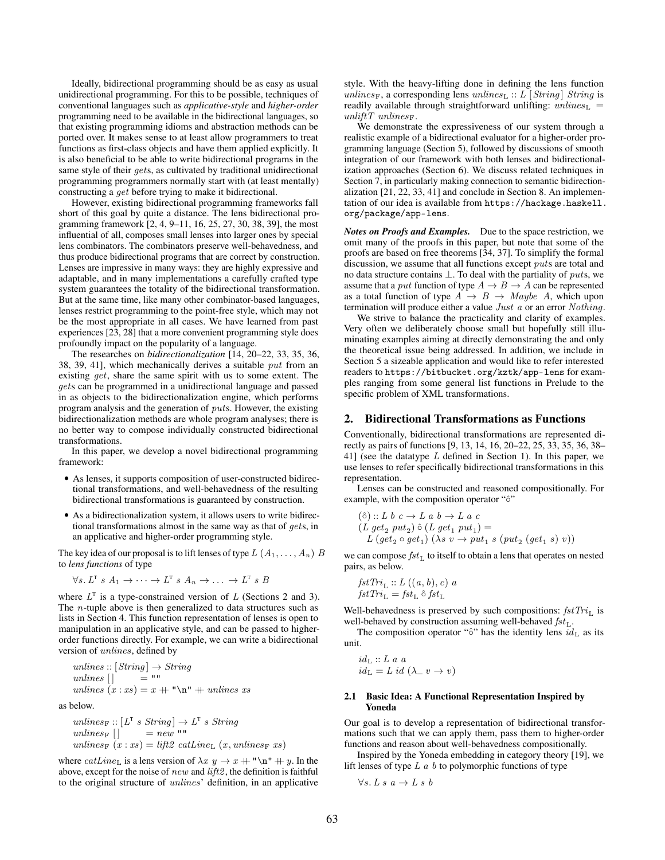Ideally, bidirectional programming should be as easy as usual unidirectional programming. For this to be possible, techniques of conventional languages such as *applicative-style* and *higher-order* programming need to be available in the bidirectional languages, so that existing programming idioms and abstraction methods can be ported over. It makes sense to at least allow programmers to treat functions as first-class objects and have them applied explicitly. It is also beneficial to be able to write bidirectional programs in the same style of their *gets*, as cultivated by traditional unidirectional programming programmers normally start with (at least mentally) constructing a get before trying to make it bidirectional.

However, existing bidirectional programming frameworks fall short of this goal by quite a distance. The lens bidirectional programming framework [2, 4, 9–11, 16, 25, 27, 30, 38, 39], the most influential of all, composes small lenses into larger ones by special lens combinators. The combinators preserve well-behavedness, and thus produce bidirectional programs that are correct by construction. Lenses are impressive in many ways: they are highly expressive and adaptable, and in many implementations a carefully crafted type system guarantees the totality of the bidirectional transformation. But at the same time, like many other combinator-based languages, lenses restrict programming to the point-free style, which may not be the most appropriate in all cases. We have learned from past experiences [23, 28] that a more convenient programming style does profoundly impact on the popularity of a language.

The researches on *bidirectionalization* [14, 20–22, 33, 35, 36, 38, 39, 41], which mechanically derives a suitable  $put$  from an existing get, share the same spirit with us to some extent. The gets can be programmed in a unidirectional language and passed in as objects to the bidirectionalization engine, which performs program analysis and the generation of puts. However, the existing bidirectionalization methods are whole program analyses; there is no better way to compose individually constructed bidirectional transformations.

In this paper, we develop a novel bidirectional programming framework:

- As lenses, it supports composition of user-constructed bidirectional transformations, and well-behavedness of the resulting bidirectional transformations is guaranteed by construction.
- As a bidirectionalization system, it allows users to write bidirectional transformations almost in the same way as that of gets, in an applicative and higher-order programming style.

The key idea of our proposal is to lift lenses of type  $L(A_1, \ldots, A_n)$  B to *lens functions* of type

$$
\forall s. L^T s A_1 \rightarrow \cdots \rightarrow L^T s A_n \rightarrow \cdots \rightarrow L^T s B
$$

where  $L^T$  is a type-constrained version of L (Sections 2 and 3). The *n*-tuple above is then generalized to data structures such as lists in Section 4. This function representation of lenses is open to manipulation in an applicative style, and can be passed to higherorder functions directly. For example, we can write a bidirectional version of unlines, defined by

unlines  $:: [String] \rightarrow String$ unlines  $\lbrack$  = "" unlines  $(x : xs) = x + "\n" + unless xs$ 

as below.

$$
unlinesF :: [LT s String] \rightarrow LT s String
$$
  
unlines<sub>F</sub> [] = new ""  
unlines<sub>F</sub> (x : xs) = lift2 catline<sub>L</sub> (x, unlines<sub>F</sub> xs)

where  $catLine_{\text{L}}$  is a lens version of  $\lambda x$   $y \to x + \text{``\n' + } y$ . In the above, except for the noise of new and  $lift2$ , the definition is faithful to the original structure of unlines' definition, in an applicative style. With the heavy-lifting done in defining the lens function unlines<sub>F</sub>, a corresponding lens unlines<sub>L</sub> :: L [String] String is readily available through straightforward unlifting:  $unlines$ <sub>L</sub> = unlift T unlines<sub>F</sub>.

We demonstrate the expressiveness of our system through a realistic example of a bidirectional evaluator for a higher-order programming language (Section 5), followed by discussions of smooth integration of our framework with both lenses and bidirectionalization approaches (Section 6). We discuss related techniques in Section 7, in particularly making connection to semantic bidirectionalization [21, 22, 33, 41] and conclude in Section 8. An implementation of our idea is available from https://hackage.haskell. org/package/app-lens.

*Notes on Proofs and Examples.* Due to the space restriction, we omit many of the proofs in this paper, but note that some of the proofs are based on free theorems [34, 37]. To simplify the formal discussion, we assume that all functions except puts are total and no data structure contains  $\bot$ . To deal with the partiality of puts, we assume that a *put* function of type  $A \rightarrow B \rightarrow A$  can be represented as a total function of type  $A \rightarrow B \rightarrow Maybe A$ , which upon termination will produce either a value Just a or an error Nothing.

We strive to balance the practicality and clarity of examples. Very often we deliberately choose small but hopefully still illuminating examples aiming at directly demonstrating the and only the theoretical issue being addressed. In addition, we include in Section 5 a sizeable application and would like to refer interested readers to https://bitbucket.org/kztk/app-lens for examples ranging from some general list functions in Prelude to the specific problem of XML transformations.

#### 2. Bidirectional Transformations as Functions

Conventionally, bidirectional transformations are represented directly as pairs of functions [9, 13, 14, 16, 20–22, 25, 33, 35, 36, 38– 41] (see the datatype  $L$  defined in Section 1). In this paper, we use lenses to refer specifically bidirectional transformations in this representation.

Lenses can be constructed and reasoned compositionally. For example, with the composition operator "ô"

$$
\begin{array}{l}\n\text{(a)}::L\ b\ c \rightarrow L\ a\ b \rightarrow L\ a\ c \\
\text{(L\ get_2\ put_2)}\ \text{(L\ get_1\ put_1)} = \\
L\ (get_2\ \text{o\ get}_1)\ (\lambda s\ v \rightarrow put_1\ s\ (put_2\ (get_1\ s)\ v))\n\end{array}
$$

we can compose  $fst_L$  to itself to obtain a lens that operates on nested pairs, as below.

$$
fstTri_{\mathcal{L}} :: L ((a, b), c) a
$$
  

$$
fstTri_{\mathcal{L}} = fst_{\mathcal{L}} \hat{\circ} fst_{\mathcal{L}}
$$

Well-behavedness is preserved by such compositions:  $fstTri_{\text{L}}$  is well-behaved by construction assuming well-behaved  $fst_L$ .

The composition operator "ô" has the identity lens  $id_L$  as its unit.

$$
id_{L} :: L a a
$$
  

$$
id_{L} = L id (\lambda_{-} v \rightarrow v)
$$

#### 2.1 Basic Idea: A Functional Representation Inspired by Yoneda

Our goal is to develop a representation of bidirectional transformations such that we can apply them, pass them to higher-order functions and reason about well-behavedness compositionally.

Inspired by the Yoneda embedding in category theory [19], we lift lenses of type  $L \, a \, b$  to polymorphic functions of type

$$
\forall s.\ L\ s\ a \rightarrow L\ s\ b
$$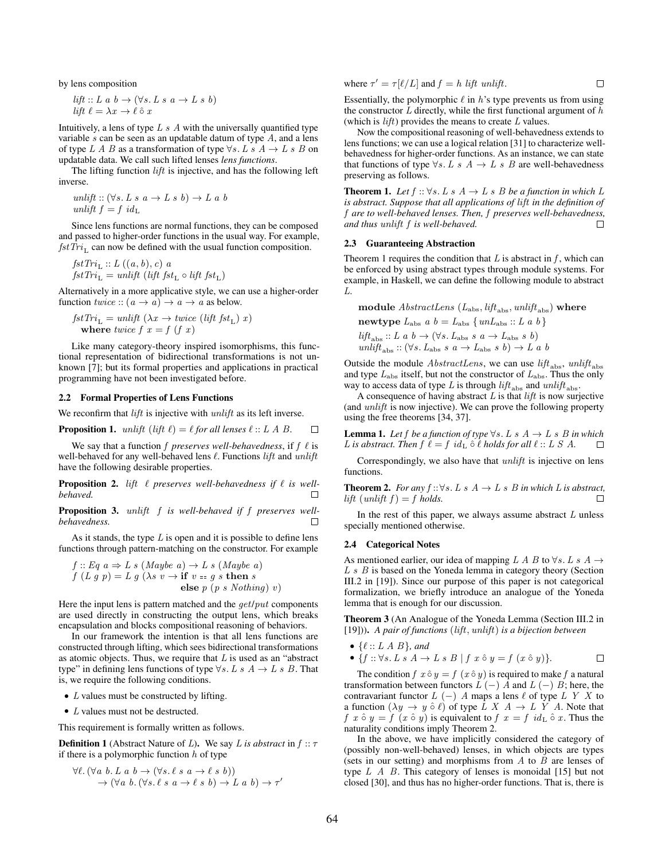by lens composition

$$
lift :: L a b \rightarrow (\forall s. L s a \rightarrow L s b)
$$
  

$$
lift \ell = \lambda x \rightarrow \ell \hat{\circ} x
$$

Intuitively, a lens of type  $L s A$  with the universally quantified type variable  $s$  can be seen as an updatable datum of type  $A$ , and a lens of type L A B as a transformation of type  $\forall s$ . L s A  $\rightarrow$  L s B on updatable data. We call such lifted lenses *lens functions*.

The lifting function *lift* is injective, and has the following left inverse.

$$
unlift :: (\forall s. L s a \rightarrow L s b) \rightarrow L a b
$$
  

$$
unlift f = f idL
$$

Since lens functions are normal functions, they can be composed and passed to higher-order functions in the usual way. For example,  $fstTri_{\text{L}}$  can now be defined with the usual function composition.

$$
fstTri_{\mathcal{L}} :: L ((a, b), c) a
$$
  

$$
fstTri_{\mathcal{L}} = unlift (lift fst_{\mathcal{L}} \circ lift fst_{\mathcal{L}})
$$

Alternatively in a more applicative style, we can use a higher-order function  $twice :: (a \rightarrow a) \rightarrow a \rightarrow a$  as below.

$$
fstTri_{\text{L}} = \text{unlift } (\lambda x \to \text{twice } (\text{lift } \text{fst}_{\text{L}}) x)
$$
  
where  $\text{twice } f x = f (f x)$ 

Like many category-theory inspired isomorphisms, this functional representation of bidirectional transformations is not unknown [7]; but its formal properties and applications in practical programming have not been investigated before.

#### 2.2 Formal Properties of Lens Functions

We reconfirm that *lift* is injective with *unlift* as its left inverse.

**Proposition 1.** *unlift* (*lift* 
$$
\ell
$$
) =  $\ell$  *for all lenses*  $\ell$  :: *L A B.*  $\square$ 

We say that a function  $f$  *preserves well-behavedness*, if  $f \ell$  is well-behaved for any well-behaved lens  $\ell$ . Functions lift and unlift have the following desirable properties.

**Proposition 2.** lift  $\ell$  preserves well-behavedness if  $\ell$  is well*behaved.* □

Proposition 3. unlift f *is well-behaved if* f *preserves wellbehavedness.*  $\Box$ 

As it stands, the type  $L$  is open and it is possible to define lens functions through pattern-matching on the constructor. For example

$$
f :: Eq \ a \Rightarrow L \ s \ (Maybe \ a) \rightarrow L \ s \ (Maybe \ a)
$$
\n
$$
f \ (L \ g \ p) = L \ g \ (\lambda s \ v \rightarrow \text{if} \ v = g \ s \ \text{then} \ s
$$
\n
$$
\text{else} \ p \ (p \ s \ Nothing) \ v)
$$

Here the input lens is pattern matched and the *get/put* components are used directly in constructing the output lens, which breaks encapsulation and blocks compositional reasoning of behaviors.

In our framework the intention is that all lens functions are constructed through lifting, which sees bidirectional transformations as atomic objects. Thus, we require that  $L$  is used as an "abstract" type" in defining lens functions of type  $\forall s$ . L s A  $\rightarrow$  L s B. That is, we require the following conditions.

- *L* values must be constructed by lifting.
- *L* values must not be destructed.

This requirement is formally written as follows.

**Definition 1** (Abstract Nature of L). We say L is abstract in  $f :: \tau$ if there is a polymorphic function  $h$  of type

$$
\forall \ell. (\forall a b. L a b \rightarrow (\forall s. \ell s a \rightarrow \ell s b))
$$
  

$$
\rightarrow (\forall a b. (\forall s. \ell s a \rightarrow \ell s b) \rightarrow L a b) \rightarrow \tau'
$$

where 
$$
\tau' = \tau[\ell/L]
$$
 and  $f = h$  lift *unlift*.

Essentially, the polymorphic  $\ell$  in h's type prevents us from using the constructor  $L$  directly, while the first functional argument of  $h$ (which is  $lift$ ) provides the means to create  $L$  values.

Now the compositional reasoning of well-behavedness extends to lens functions; we can use a logical relation [31] to characterize wellbehavedness for higher-order functions. As an instance, we can state that functions of type  $\forall s$ . L s A  $\rightarrow$  L s B are well-behavedness preserving as follows.

**Theorem 1.** *Let*  $f :: \forall s$ . *L*  $s$   $A \rightarrow L$   $s$   $B$  *be a function in which L is abstract. Suppose that all applications of* lift *in the definition of* f *are to well-behaved lenses. Then,* f *preserves well-behavedness, and thus* unlift f *is well-behaved.*  $\Box$ 

#### 2.3 Guaranteeing Abstraction

Theorem 1 requires the condition that  $L$  is abstract in  $f$ , which can be enforced by using abstract types through module systems. For example, in Haskell, we can define the following module to abstract L.

module  $AbstractLens (L<sub>abs</sub>, lift<sub>abs</sub>, unlift<sub>abs</sub>)$  where

newtype  $L_{\text{abs}}$  a  $b = L_{\text{abs}} \{unL_{\text{abs}} :: L a b\}$  $lift_{\text{abs}} :: L \ a \ b \rightarrow (\forall s. \ L_{\text{abs}} \ s \ a \rightarrow L_{\text{abs}} \ s \ b)$ unlift<sub>abs</sub> ::  $(\forall s. L_{\text{abs}} s a \rightarrow L_{\text{abs}} s b) \rightarrow L a b$ 

Outside the module  $AbstractLens$ , we can use  $lift<sub>abs</sub>,$  unlift<sub>abs</sub> and type  $L_{\text{abs}}$  itself, but not the constructor of  $L_{\text{abs}}$ . Thus the only way to access data of type L is through  $lift_{\text{abs}}$  and  $unlift_{\text{abs}}$ .

A consequence of having abstract  $L$  is that  $lift$  is now surjective (and unlift is now injective). We can prove the following property using the free theorems [34, 37].

**Lemma 1.** Let f be a function of type  $\forall s$ . L s  $A \rightarrow L$  s B in which *L* is abstract. Then  $f \ell = f id_L \hat{\circ} \ell$  holds for all  $\ell :: L S A$ . □

Correspondingly, we also have that *unlift* is injective on lens functions.

**Theorem 2.** *For any*  $f$  ::∀s.  $L s A → L s B$  *in which*  $L$  *is abstract,* lift  $(unlift f) = f holds.$ 

In the rest of this paper, we always assume abstract  $L$  unless specially mentioned otherwise.

#### 2.4 Categorical Notes

As mentioned earlier, our idea of mapping L A B to  $\forall s$ . L s A  $\rightarrow$ L s B is based on the Yoneda lemma in category theory (Section III.2 in [19]). Since our purpose of this paper is not categorical formalization, we briefly introduce an analogue of the Yoneda lemma that is enough for our discussion.

Theorem 3 (An Analogue of the Yoneda Lemma (Section III.2 in [19])). *A pair of functions* (lift, unlift) *is a bijection between*

$$
\bullet \{ \ell :: L \land B \}, and
$$

• 
$$
\{f: \forall s. L \ s \ A \rightarrow L \ s \ B \mid f \ x \ \hat{\circ} \ y = f \ (x \ \hat{\circ} \ y)\}.
$$

The condition  $f \ x \ \hat{\circ} \ y = f \ (x \ \hat{\circ} \ y)$  is required to make f a natural transformation between functors  $L(-)$  A and  $L(-)$  B; here, the contravariant functor  $L(-)$  A maps a lens  $\ell$  of type  $L Y X$  to a function  $(\lambda y \to y \land \ell)$  of type L X  $A \to L$  Y A. Note that f x  $\circ$  y = f  $(x \circ y)$  is equivalent to f  $x = f$  id<sub>L</sub>  $\circ$  x. Thus the naturality conditions imply Theorem 2.

In the above, we have implicitly considered the category of (possibly non-well-behaved) lenses, in which objects are types (sets in our setting) and morphisms from  $A$  to  $B$  are lenses of type  $L \, A \, B$ . This category of lenses is monoidal [15] but not closed [30], and thus has no higher-order functions. That is, there is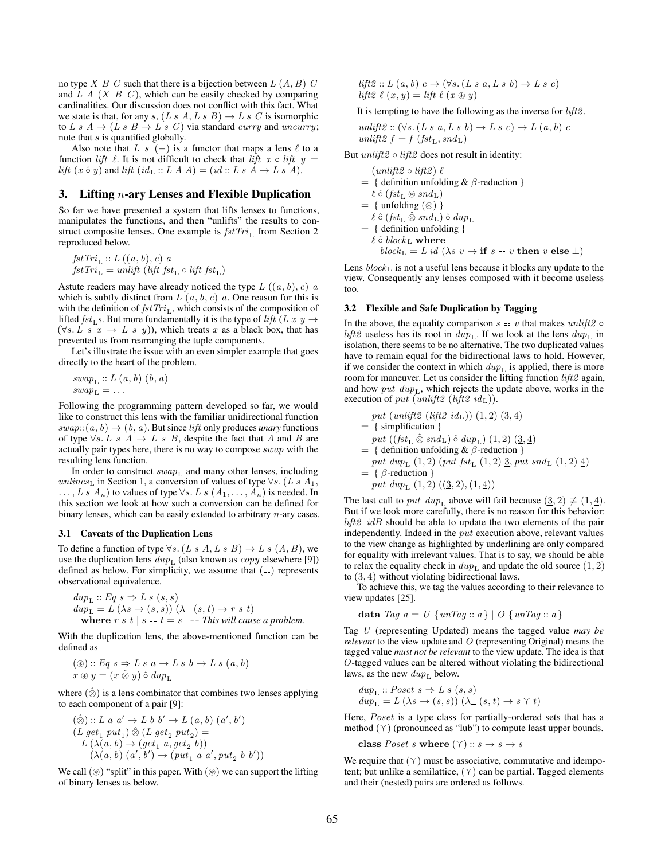no type  $X \, B \, C$  such that there is a bijection between  $L \, (A, B) \, C$ and  $L A (X B C)$ , which can be easily checked by comparing cardinalities. Our discussion does not conflict with this fact. What we state is that, for any s,  $(L s A, L s B) \rightarrow L s C$  is isomorphic to L s  $A \rightarrow (L s B \rightarrow L s C)$  via standard curry and uncurry; note that s is quantified globally.

Also note that L s  $(-)$  is a functor that maps a lens  $\ell$  to a function lift  $\ell$ . It is not difficult to check that lift  $x \circ \text{lift} y =$ lift  $(x \hat{\circ} y)$  and lift  $(id_L :: L A A) = (id :: L s A \rightarrow L s A)$ .

#### 3. Lifting  $n$ -ary Lenses and Flexible Duplication

So far we have presented a system that lifts lenses to functions, manipulates the functions, and then "unlifts" the results to construct composite lenses. One example is  $fstTri_{L}$  from Section 2 reproduced below.

$$
fstTri_{\mathcal{L}} :: L ((a, b), c) a
$$
  

$$
fstTri_{\mathcal{L}} = unlift (lift fst_{\mathcal{L}} \circ lift fst_{\mathcal{L}})
$$

Astute readers may have already noticed the type  $L((a, b), c)$  a which is subtly distinct from  $L(a, b, c)$  a. One reason for this is with the definition of  $fstTri_{\text{L}}$ , which consists of the composition of lifted  $fst<sub>L</sub>$ s. But more fundamentally it is the type of lift (L x y  $\rightarrow$  $(\forall s. L \ s \ x \rightarrow L \ s \ y))$ , which treats x as a black box, that has prevented us from rearranging the tuple components.

Let's illustrate the issue with an even simpler example that goes directly to the heart of the problem.

$$
swap_{\mathcal{L}} :: L(a, b) (b, a)
$$

$$
swap_{\mathcal{L}} = \dots
$$

Following the programming pattern developed so far, we would like to construct this lens with the familiar unidirectional function  $swap::(a, b) \rightarrow (b, a)$ . But since *lift* only produces *unary* functions of type  $\forall s$ . L s A  $\rightarrow$  L s B, despite the fact that A and B are actually pair types here, there is no way to compose swap with the resulting lens function.

In order to construct  $swap_L$  and many other lenses, including unlines<sub>L</sub> in Section 1, a conversion of values of type  $\forall s$ . (L s A<sub>1</sub>,  $\dots, L \, s \, A_n$  to values of type  $\forall s. L \, s \, (A_1, \dots, A_n)$  is needed. In this section we look at how such a conversion can be defined for binary lenses, which can be easily extended to arbitrary  $n$ -ary cases.

#### 3.1 Caveats of the Duplication Lens

To define a function of type  $\forall s. (L s A, L s B) \rightarrow L s (A, B)$ , we use the duplication lens  $dup<sub>L</sub>$  (also known as *copy* elsewhere [9]) defined as below. For simplicity, we assume that  $(==)$  represents observational equivalence.

$$
dup_{L} :: Eq s \Rightarrow L s (s, s)
$$
  
\n
$$
dup_{L} = L (\lambda s \rightarrow (s, s)) (\lambda_{-} (s, t) \rightarrow r s t)
$$
  
\nwhere  $r s t | s = t = s$  -- This will cause a problem.

With the duplication lens, the above-mentioned function can be defined as

$$
(\circledast) :: Eq \ s \Rightarrow L \ s \ a \rightarrow L \ s \ b \rightarrow L \ s \ (a, b)
$$

$$
x \circledast y = (x \circledast y) \circ du p_{L}
$$

where  $(\hat{\otimes})$  is a lens combinator that combines two lenses applying to each component of a pair [9]:

$$
\begin{array}{l} (\hat{\otimes}): L\; a\; a' \rightarrow L\; b\; b' \rightarrow L\; (a,b)\; (a',b')\\ (L\; get_1\; put_1) \; \hat{\otimes}\; (L\; get_2\; put_2) =\\ L\; (\lambda(a,b) \rightarrow (get_1\; a, get_2\; b))\\ (\lambda(a,b)\; (a',b') \rightarrow (put_1\; a\; a', put_2\; b\; b')) \end{array}
$$

We call  $(\circledast)$  "split" in this paper. With  $(\circledast)$  we can support the lifting of binary lenses as below.

lift2 ::  $L(a, b) c \rightarrow (\forall s. (L s a, L s b) \rightarrow L s c)$ lift  $\ell(x, y) = \text{lift } \ell(x \circledast y)$ 

It is tempting to have the following as the inverse for  $lift2$ .

$$
\label{eq:unifit} \begin{array}{l} \textit{unlift2}: (\forall s.\,(L\;s\;a,\,L\;s\;b) \rightarrow L\;s\;c) \rightarrow L\;(a,\,b)\;c\\ \textit{unlift2}\;f = f\;\left(\textit{fst_L}, \textit{snd_L}\right) \end{array}
$$

But  $unlift2 \circ lift2$  does not result in identity:

$$
(unlift2 \circ lift2) \ell
$$
\n= { definition unfolding &  $\beta$ -reduction }  
\n $\ell \hat{\circ} (fst_L \otimes snd_L)$   
\n= { unfolding ( $\circledast$ ) }  
\n $\ell \hat{\circ} (fst_L \hat{\otimes} snd_L) \hat{\circ} dup_L$   
\n= { definition unfolding }  
\n $\ell \hat{\circ} block_L$  where  
\n $block_L = L id (\lambda s \ v \rightarrow \text{if } s = v \text{ then } v \text{ else } \bot)$ 

Lens  $block_$  is not a useful lens because it blocks any update to the view. Consequently any lenses composed with it become useless too.

#### 3.2 Flexible and Safe Duplication by Tagging

In the above, the equality comparison  $s = v$  that makes unlift2  $\circ$ lift2 useless has its root in  $dup<sub>L</sub>$ . If we look at the lens  $dup<sub>L</sub>$  in isolation, there seems to be no alternative. The two duplicated values have to remain equal for the bidirectional laws to hold. However, if we consider the context in which  $dup<sub>L</sub>$  is applied, there is more room for maneuver. Let us consider the lifting function *lift2* again, and how put  $dup<sub>L</sub>$ , which rejects the update above, works in the execution of put (unlift2 (lift2 id<sub>L</sub>)).

$$
put (unlift2 (lift2 idL)) (1, 2) (3, 4)
$$
  
= { simplification }\n  

$$
put ((fstL \hat{\otimes} sndL) \hat{\circ} dwL) (1, 2) (3, 4)
$$
  
= { definition unfolding & β-reduction }\n  

$$
put dupL (1, 2) (put fstL (1, 2) 3, put sndL (1, 2) 4)
$$
  
= { β-reduction }

put 
$$
dup_{L}(1, 2) ((\underline{3}, 2), (1, \underline{4}))
$$

The last call to *put dup*<sub>L</sub> above will fail because  $(3, 2) \neq (1, 4)$ . But if we look more carefully, there is no reason for this behavior:  $lift2$   $idB$  should be able to update the two elements of the pair independently. Indeed in the put execution above, relevant values to the view change as highlighted by underlining are only compared for equality with irrelevant values. That is to say, we should be able to relax the equality check in  $dup_{\text{L}}$  and update the old source  $(1, 2)$ to  $(3, 4)$  without violating bidirectional laws.

To achieve this, we tag the values according to their relevance to view updates [25].

$$
\mathbf{data} \; \mathit{Tag} \; a = U \; \{ \mathit{unTag} :: a \} \; | \; O \; \{ \mathit{unTag} :: a \}
$$

Tag U (representing Updated) means the tagged value *may be relevant* to the view update and O (representing Original) means the tagged value *must not be relevant* to the view update. The idea is that O-tagged values can be altered without violating the bidirectional laws, as the new  $dup<sub>L</sub>$  below.

$$
dup_{\mathcal{L}} :: Poset s \Rightarrow L s (s, s)
$$
  

$$
dup_{\mathcal{L}} = L (\lambda s \rightarrow (s, s)) (\lambda_{-} (s, t) \rightarrow s \curlyvee t)
$$

Here, Poset is a type class for partially-ordered sets that has a method  $(\gamma)$  (pronounced as "lub") to compute least upper bounds.

class *Poset s* where  $(\gamma) :: s \rightarrow s \rightarrow s$ 

We require that  $(\gamma)$  must be associative, commutative and idempotent; but unlike a semilattice,  $(\Upsilon)$  can be partial. Tagged elements and their (nested) pairs are ordered as follows.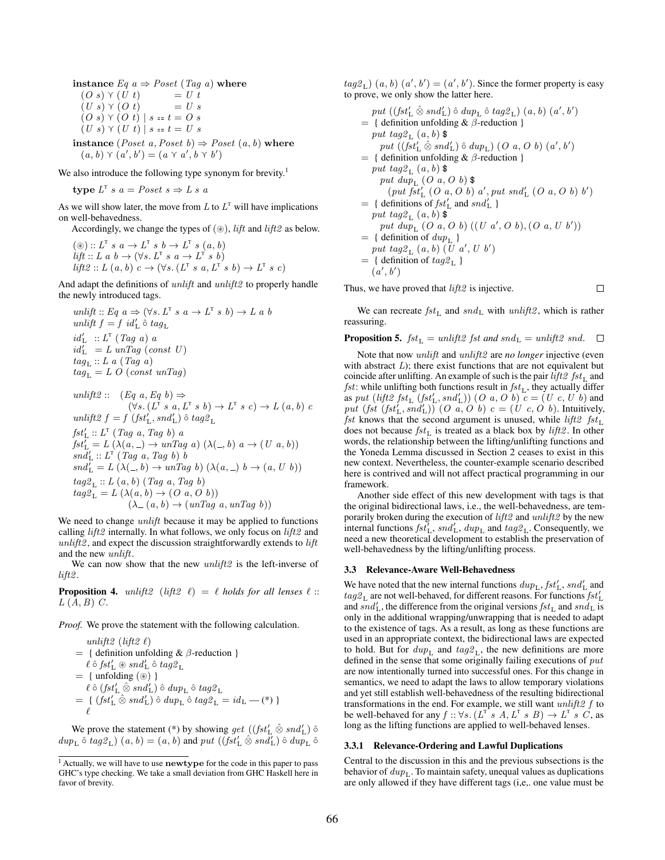instance  $Eq\ a \Rightarrow Poset\ (Tag\ a)$  where  $(O \ s) \ \gamma \ (U \ t) = U \ t$ <br>  $(U \ s) \ \gamma \ (O \ t) = U \ s$  $(U s) \Upsilon (O t)$  $(O s) \Upsilon (O t) | s = t = O s$  $(U s) \Upsilon (U t) | s = t = U s$ 

instance (*Poset a, Poset b*)  $\Rightarrow$  *Poset (a, b)* where  $(a, b) \ \gamma \ (a', b') = (a \ \gamma \ a', b \ \gamma \ b')$ 

We also introduce the following type synonym for brevity.<sup>1</sup>

type  $L^T s a = Poset s \Rightarrow L s a$ 

As we will show later, the move from  $L$  to  $L^T$  will have implications on well-behavedness.

Accordingly, we change the types of  $(\circledast)$ , *lift* and *lift* $2$  as below.

 $(\circledast) :: L<sup>T</sup> s a \rightarrow L<sup>T</sup> s b \rightarrow L<sup>T</sup> s (a, b)$  $lift :: L \ a \ b \rightarrow (\forall s. \ L^T \ s \ a \rightarrow L^T \ s \ b)$  $\textit{lift2} :: L(a, b) c \rightarrow (\forall s. (L^{\text{T}} s a, L^{\text{T}} s b) \rightarrow L^{\text{T}} s c)$ 

And adapt the definitions of *unlift* and *unlift*2 to properly handle the newly introduced tags.

$$
unlift :: Eq \ a \Rightarrow (\forall s. \ L^T \ s \ a \rightarrow L^T \ s \ b) \rightarrow L \ a \ b
$$
  

$$
unlift f = f id'_{L} \ \hat{\circ} \ tag_{L}
$$
  

$$
id'_{L} :: L^T (Tag \ a) \ a
$$
  

$$
id'_{L} = L \ unTag (\text{const } U)
$$
  

$$
tag_{L} :: L \ a \ (Tag \ a)
$$
  

$$
tag_{L} = L \ O \ (const \ unTag)
$$

$$
unlift2 :: (Eq a, Eq b) \Rightarrow
$$
  
\n
$$
(\forall s. (L^T s a, L^T s b) \rightarrow L^T s c) \rightarrow L (a, b) c
$$
  
\n
$$
unlift2 f = f (fst'_L, snd'_L) \hat{o} tag2_L
$$
  
\n
$$
fst'_L :: L^T (Tag a, Tag b) a
$$
  
\n
$$
fst'_L = L (\lambda(a, -) \rightarrow unTag a) (\lambda(-, b) a \rightarrow (U a, b))
$$
  
\n
$$
snd'_L :: L^T (Tag a, Tag b) b
$$
  
\n
$$
snd'_L = L (\lambda(-, b) \rightarrow unTag b) (\lambda(a, -) b \rightarrow (a, U b))
$$
  
\n
$$
tag2_L :: L (a, b) (Tag a, Tag b)
$$
  
\n
$$
tag2_L = L (\lambda(a, b) \rightarrow (O a, O b))
$$
  
\n
$$
(\lambda - (a, b) \rightarrow (unTag a, unTag b))
$$

We need to change *unlift* because it may be applied to functions calling  $lift2$  internally. In what follows, we only focus on  $lift2$  and  $unlift2$ , and expect the discussion straightforwardly extends to  $lift$ and the new unlift.

We can now show that the new *unlift2* is the left-inverse of  $lift2$ .

**Proposition 4.** unlift2 (lift2  $\ell$ ) =  $\ell$  holds for all lenses  $\ell$  ::  $L(A, B)$  C.

*Proof.* We prove the statement with the following calculation.

$$
unlift2 (lift2 \ell)
$$
\n
$$
= { definition unfolding & \beta-reduction }
$$
\n
$$
\ell \hat{\circ} fst'_{L} \circ snd'_{L} \hat{\circ} tag2_{L}
$$
\n
$$
= { uniformly { uniformly {minmax} \choose 0} }
$$
\n
$$
\ell \hat{\circ} (fst'_{L} \hat{\otimes} snd'_{L}) \hat{\circ} dup_{L} \hat{\circ} tag2_{L}
$$
\n
$$
= { (fst'_{L} \hat{\otimes} snd'_{L}) \hat{\circ} dup_{L} \hat{\circ} tag2_{L} = id_{L} - (*) }
$$
\n
$$
\ell
$$

We prove the statement (\*) by showing get  $((fst'_L \hat{\otimes} snd'_L) \hat{\circ})$  $dup_{\mathbf{L}} \circ tag_{\mathbf{L}}(a, b) = (a, b)$  and  $put ((fst'_{\mathbf{L}} \otimes sal'_{\mathbf{L}}) \circ dup_{\mathbf{L}} \otimes$ 

 $tag2<sub>L</sub>$ )  $(a, b)$   $(a', b') = (a', b')$ . Since the former property is easy to prove, we only show the latter here.

put 
$$
((fst'_L \hat{\otimes} sal'_L) \hat{\circ} \, du_{p_L} \hat{\circ} \, tag_{p_L}) \, (a, b) \, (a', b')
$$
\n
$$
= \{ \text{ definition unfolding } \& \beta\text{-reduction } \}
$$
\nput 
$$
tag2_{L}(a, b) \& \text{put } ((fst'_L \hat{\otimes} sal'_L) \hat{\circ} \, du_{p_L}) \, (O \, a, O \, b) \, (a', b')
$$
\n
$$
= \{ \text{ definition unfolding } \& \beta\text{-reduction } \}
$$
\nput 
$$
tag2_{L}(a, b) \& \text{put } du_{p_L} \, (O \, a, O \, b) \& \text{put } du_{p_L} \, (O \, a, O \, b) \& \text{put } fd'_{p_L} \, (O \, a, O \, b) \, a', \text{put }snd'_{L} \, (O \, a, O \, b) \, b')
$$
\n
$$
= \{ \text{ definitions of } fst'_{L} \text{ and }snd'_{L} \}
$$
\nput 
$$
tag2_{L}(a, b) \& \text{put } du_{p_L} \, (O \, a, O \, b) \, ((U \, a', O \, b), (O \, a, U \, b'))
$$
\n
$$
= \{ \text{definition of } du_{p_L} \}
$$
\nput 
$$
tag2_{L}(a, b) \, (U \, a', U \, b')
$$
\n
$$
= \{ \text{definition of } tag_{p_L} \}
$$
\n
$$
(a', b')
$$

Thus, we have proved that  $lift2$  is injective.

We can recreate  $fst_L$  and  $snd_L$  with  $unlift2$ , which is rather reassuring.

 $\Box$ 

**Proposition 5.**  $fst_L = \text{unlift2 } \text{fst } \text{and } \text{snd}_L = \text{unlift2 } \text{snd.}$ 

Note that now unlift and unlift2 are *no longer* injective (even with abstract  $L$ ); there exist functions that are not equivalent but coincide after unlifting. An example of such is the pair  $lift2$   $fst<sub>L</sub>$  and  $fst$ : while unlifting both functions result in  $fst$ <sub>L</sub>, they actually differ as put (lift2  $fst_{\mathsf{L}}(fst_{\mathsf{L}}', sal_{\mathsf{L}}'))$  (O a, O b)  $c = (U, c, U, b)$  and put  $(fst (fst'_L, sal'_L))$   $(O a, O b) c = (U c, O b)$ . Intuitively, *fst* knows that the second argument is unused, while *lift2*  $fst<sub>L</sub>$ does not because  $fst_L$  is treated as a black box by lift2. In other words, the relationship between the lifting/unlifting functions and the Yoneda Lemma discussed in Section 2 ceases to exist in this new context. Nevertheless, the counter-example scenario described here is contrived and will not affect practical programming in our framework.

Another side effect of this new development with tags is that the original bidirectional laws, i.e., the well-behavedness, are temporarily broken during the execution of lift2 and unlift2 by the new internal functions  $fst_{\text{L}}^{\prime}$ ,  $snd_{\text{L}}^{\prime}$ ,  $dup_{\text{L}}$  and  $tag2_{\text{L}}$ . Consequently, we need a new theoretical development to establish the preservation of well-behavedness by the lifting/unlifting process.

#### 3.3 Relevance-Aware Well-Behavedness

We have noted that the new internal functions  $dup<sub>L</sub>, fst'<sub>L</sub>, snd'<sub>L</sub>$  and  $tag2<sub>L</sub>$  are not well-behaved, for different reasons. For functions  $fst'_L$ and  $snd'_{\text{L}}$ , the difference from the original versions  $fst_{\text{L}}$  and  $snd_{\text{L}}$  is only in the additional wrapping/unwrapping that is needed to adapt to the existence of tags. As a result, as long as these functions are used in an appropriate context, the bidirectional laws are expected to hold. But for  $dup<sub>L</sub>$  and  $tag2<sub>L</sub>$ , the new definitions are more defined in the sense that some originally failing executions of put are now intentionally turned into successful ones. For this change in semantics, we need to adapt the laws to allow temporary violations and yet still establish well-behavedness of the resulting bidirectional transformations in the end. For example, we still want  $unlift2 f$  to be well-behaved for any  $f :: \forall s$ .  $(L^T s A, L^T s B) \rightarrow L^T s C$ , as long as the lifting functions are applied to well-behaved lenses.

#### 3.3.1 Relevance-Ordering and Lawful Duplications

Central to the discussion in this and the previous subsections is the behavior of  $dup<sub>L</sub>$ . To maintain safety, unequal values as duplications are only allowed if they have different tags (i,e,. one value must be

<sup>&</sup>lt;sup>1</sup> Actually, we will have to use newtype for the code in this paper to pass GHC's type checking. We take a small deviation from GHC Haskell here in favor of brevity.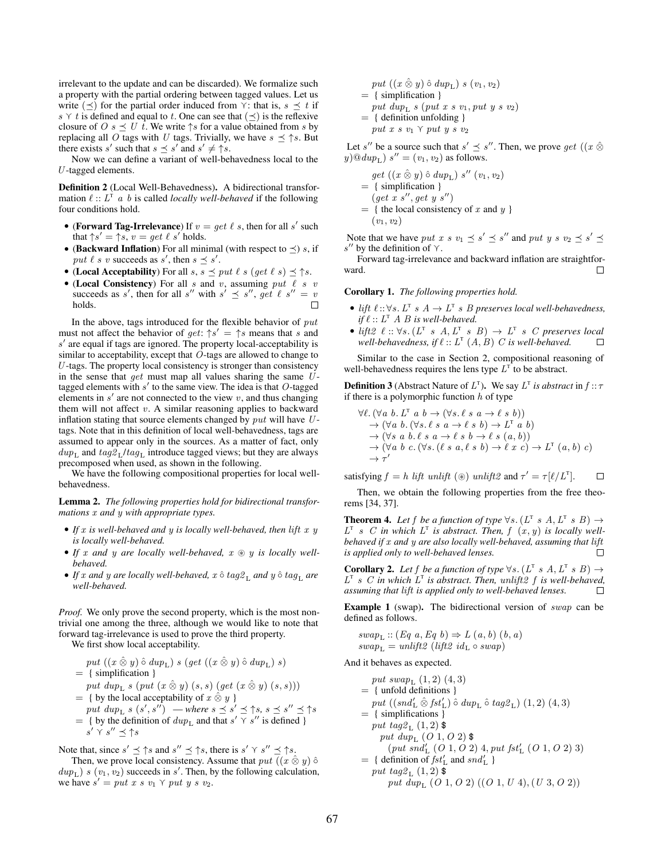irrelevant to the update and can be discarded). We formalize such a property with the partial ordering between tagged values. Let us write  $(\preceq)$  for the partial order induced from  $\gamma$ : that is,  $s \preceq t$  if s  $\gamma$  t is defined and equal to t. One can see that  $(\preceq)$  is the reflexive closure of  $O \, s \preceq U \, t$ . We write  $\uparrow s$  for a value obtained from s by replacing all O tags with U tags. Trivially, we have  $s \leq \uparrow s$ . But there exists s' such that  $s \preceq s'$  and  $s' \neq \uparrow s$ .

Now we can define a variant of well-behavedness local to the  $U$ -tagged elements.

Definition 2 (Local Well-Behavedness). A bidirectional transformation  $\ell$  ::  $L^T$  *a b* is called *locally well-behaved* if the following four conditions hold.

- (Forward Tag-Irrelevance) If  $v = get \ell s$ , then for all s' such that  $\uparrow s' = \uparrow s$ ,  $v = get \ell s'$  holds.
- (Backward Inflation) For all minimal (with respect to  $\preceq$ ) s, if put  $\ell$  s v succeeds as s', then  $s \preceq s'$ .
- (Local Acceptability) For all  $s, s \preceq put \ell s (get \ell s) \preceq \uparrow s$ .
- (Local Consistency) For all s and v, assuming put  $\ell$  s v succeeds as s', then for all s'' with  $s' \preceq s''$ , get  $\ell s'' = v$ holds.

In the above, tags introduced for the flexible behavior of  $put$ must not affect the behavior of  $get: \uparrow s' = \uparrow s$  means that s and s ′ are equal if tags are ignored. The property local-acceptability is similar to acceptability, except that O-tags are allowed to change to U-tags. The property local consistency is stronger than consistency in the sense that  $get$  must map all values sharing the same  $U$ tagged elements with  $s'$  to the same view. The idea is that  $O$ -tagged elements in  $s'$  are not connected to the view  $v$ , and thus changing them will not affect  $v$ . A similar reasoning applies to backward inflation stating that source elements changed by  $put$  will have  $U$ tags. Note that in this definition of local well-behavedness, tags are assumed to appear only in the sources. As a matter of fact, only  $dup_{\text{L}}$  and  $tag2_L/tag_{\text{L}}$  introduce tagged views; but they are always precomposed when used, as shown in the following.

We have the following compositional properties for local wellbehavedness.

Lemma 2. *The following properties hold for bidirectional transformations* x *and* y *with appropriate types.*

- If x is well-behaved and y is locally well-behaved, then lift x y *is locally well-behaved.*
- *If* x *and* y *are locally well-behaved,* x ⊛ y *is locally wellbehaved.*
- *If* x and y are locally well-behaved, x  $\hat{o}$  tag2<sub>L</sub> and y  $\hat{o}$  tag<sub>L</sub> are *well-behaved.*

*Proof.* We only prove the second property, which is the most nontrivial one among the three, although we would like to note that forward tag-irrelevance is used to prove the third property.

We first show local acceptability.

- $put~((x \mathbin{\hat{\otimes}} y) \mathbin{\hat{\circ}} du p_{\mathsf{L}})$ s ( $get~((x \mathbin{\hat{\otimes}} y) \mathbin{\hat{\circ}} du p_{\mathsf{L}})$ s) = { simplification }
- put dup<sub>L</sub> s (put  $(x \otimes y)$   $(s, s)$  (get  $(x \otimes y)$   $(s, s))$ )  $= \{$  by the local acceptability of  $x \otimes y$  }
- put  $dup_L$  s  $(s', s'')$  where  $s \preceq s' \preceq$   $\uparrow s$ ,  $s \preceq s'' \preceq \uparrow s$  $=$  { by the definition of  $dup_L$  and that  $s' \overline{\gamma} s''$  is defined }  $s' \curlyvee s'' \preceq \uparrow s$

Note that, since  $s' \leq \uparrow s$  and  $s'' \leq \uparrow s$ , there is  $s' \uparrow s'' \leq \uparrow s$ .

Then, we prove local consistency. Assume that  $put ((x \hat{\otimes} y) \hat{\circ})$  $dup<sub>L</sub>$ ) s  $(v<sub>1</sub>, v<sub>2</sub>)$  succeeds in s'. Then, by the following calculation, we have  $s' = put x s v_1 \gamma put y s v_2$ .

$$
put ((x \hat{\otimes} y) \hat{\circ} \text{ } dup_L) \text{ } s \text{ } (v_1, v_2)
$$
\n
$$
= \{ \text{ simplification } \}
$$
\n
$$
put \text{ } dup_L \text{ } s \text{ } (put \text{ } x \text{ } s \text{ } v_1, put \text{ } y \text{ } s \text{ } v_2)
$$
\n
$$
= \{ \text{ definition unfolding } \}
$$
\n
$$
put \text{ } x \text{ } s \text{ } v_1 \text{ } \gamma \text{ } put \text{ } y \text{ } s \text{ } v_2
$$

Let s'' be a source such that  $s' \preceq s''$ . Then, we prove get  $((x \hat{\otimes}$  $y)$ <sup>(0</sup> $dup_L$ )  $s'' = (v_1, v_2)$  as follows.

get 
$$
((x \otimes y) \circ dup_L) s'' (v_1, v_2)
$$
  
= { simplification }  
(get x s'', get y s'')  
= { the local consistency of x and y }  
(v<sub>1</sub>, v<sub>2</sub>)

Note that we have put x s  $v_1 \preceq s' \preceq s''$  and put y s  $v_2 \preceq s' \preceq s''$  $s''$  by the definition of  $\gamma$ .

Forward tag-irrelevance and backward inflation are straightforward. П

Corollary 1. *The following properties hold.*

- lift  $\ell$  ::  $\forall s$ .  $L^T s A \rightarrow L^T s B$  preserves local well-behavedness, *if*  $\ell$  ::  $L^T$  A B *is well-behaved.*
- lift2  $\ell :: \forall s. (L^{\mathsf{T}} s A, L^{\mathsf{T}} s B) \rightarrow L^{\mathsf{T}} s C$  preserves local well-behavedness, if  $\ell :: L<sup>T</sup>(A, B)$  *C* is well-behaved. П

Similar to the case in Section 2, compositional reasoning of well-behavedness requires the lens type  $L^T$  to be abstract.

**Definition 3** (Abstract Nature of  $L^T$ ). We say  $L^T$  is abstract in  $f :: \tau$ if there is a polymorphic function  $h$  of type

$$
\forall \ell. (\forall a b. LT a b \rightarrow (\forall s. \ell s a \rightarrow \ell s b))
$$
  
\n
$$
\rightarrow (\forall a b. (\forall s. \ell s a \rightarrow \ell s b) \rightarrow LT a b)
$$
  
\n
$$
\rightarrow (\forall s a b. \ell s a \rightarrow \ell s b \rightarrow \ell s (a, b))
$$
  
\n
$$
\rightarrow (\forall a b c. (\forall s. (\ell s a, \ell s b) \rightarrow \ell x c) \rightarrow LT (a, b) c)
$$
  
\n
$$
\rightarrow \tau'
$$

satisfying  $f = h$  lift unlift ( $\circledast$ ) unlift  $2$  and  $\tau' = \tau[\ell/L^{\tau}]$ .  $\Box$ 

Then, we obtain the following properties from the free theorems [34, 37].

**Theorem 4.** Let f be a function of type  $\forall s$ .  $(L^{\mathsf{T}} s A, L^{\mathsf{T}} s B) \rightarrow$  $L^{\mathrm{T}}$  s C in which  $L^{\mathrm{T}}$  is abstract. Then,  $f(x, y)$  is locally well*behaved if* x *and* y *are also locally well-behaved, assuming that* lift *is applied only to well-behaved lenses.*  $\Box$ 

**Corollary 2.** Let f be a function of type  $\forall s$ .  $(L^T s A, L^T s B) \rightarrow$  $L^{\mathsf{T}}$  *s*  $C$  *in which*  $L^{\mathsf{T}}$  *is abstract. Then, unlift* $2f$  *is well-behaved, assuming that* lift *is applied only to well-behaved lenses.*  $\Box$ 

Example 1 (swap). The bidirectional version of swap can be defined as follows.

 $swap_L :: (Eq\ a, Eq\ b) \Rightarrow L(a, b)\ (b, a)$  $swap_L = unlift2$  (lift2 id<sub>L</sub>  $\circ$  swap)

And it behaves as expected.

put  $swap_L$   $(1, 2)$   $(4, 3)$ = { unfold definitions } put  $((\text{snd}_L' \hat{\otimes} \text{fst}'_L) \hat{\circ} \text{dup}_L \hat{\circ} \text{tag2}_L)$   $(1, 2)$   $(4, 3)$ = { simplifications } put tag $2_L$   $(1,2)$  \$ put dup<sub>L</sub>  $(O 1, O 2)$  \$  $(\text{put } \vec{snd'_L} \; (\text{O } 1, \text{O } 2) \; 4, \text{put } \text{fst'_L} \; (\text{O } 1, \text{O } 2) \; 3)$  $= \{$  definition of  $fst'_L$  and  $snd'_L$  } put tag<br>2 $_{\rm L}$  (1, 2)  $\mbox{\$}$ put  $\dim_{\mathrm{L}} (O\ 1, O\ 2)$   $((O\ 1, U\ 4), (U\ 3, O\ 2))$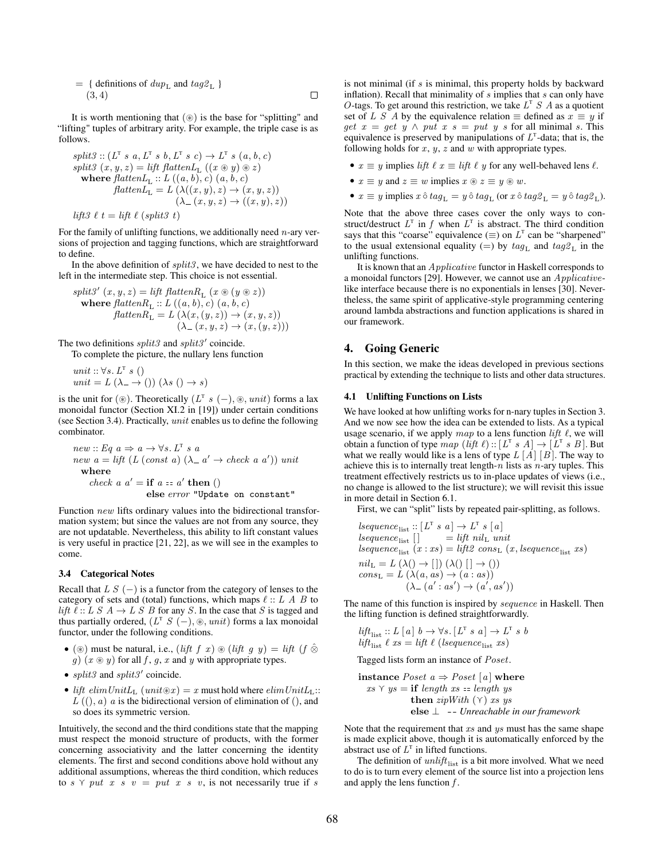$$
= \{ \text{ definitions of } \text{dup}_{\text{L}} \text{ and } \text{tag2}_{\text{L}} \}
$$
  
(3, 4)

It is worth mentioning that (⊛) is the base for "splitting" and "lifting" tuples of arbitrary arity. For example, the triple case is as follows.

split3 :: 
$$
(L^T s a, L^T s b, L^T s c) \rightarrow L^T s (a, b, c)
$$
  
\nsplit3  $(x, y, z) = lift$  flatten $L_L$   $((x \otimes y) \otimes z)$   
\nwhere flatten $L_L$  ::  $L ((a, b), c) (a, b, c)$   
\nflatten $L_L = L (\lambda((x, y), z) \rightarrow (x, y, z))$   
\n $(\lambda_{-}(x, y, z) \rightarrow ((x, y), z))$   
\nlift3  $\ell$  t = lift  $\ell$  (split3 t)

For the family of unlifting functions, we additionally need  $n$ -ary versions of projection and tagging functions, which are straightforward to define.

In the above definition of  $splits$ , we have decided to nest to the left in the intermediate step. This choice is not essential.

split3' 
$$
(x, y, z) = lift\ flatten R_L (x \circledast (y \circledast z))
$$
  
\nwhere  $flatten R_L :: L ((a, b), c) (a, b, c)$   
\n $flatten R_L = L (\lambda(x, (y, z)) \rightarrow (x, y, z))$   
\n $(\lambda_{-}(x, y, z) \rightarrow (x, (y, z)))$ 

The two definitions  $split3$  and  $split3'$  coincide.

To complete the picture, the nullary lens function

$$
unit:: \forall s. L^T s ()
$$
  

$$
unit = L(\lambda_{-} \rightarrow () ) (\lambda s () \rightarrow s)
$$

is the unit for (⊛). Theoretically  $(L^T s(-), \otimes, unit)$  forms a lax monoidal functor (Section XI.2 in [19]) under certain conditions (see Section 3.4). Practically, unit enables us to define the following combinator.

new :: Eq 
$$
a \Rightarrow a \rightarrow \forall s
$$
.  $L^T s a$   
\nnew  $a = \text{lift}(L(\text{const } a) (\lambda - a' \rightarrow \text{check } a a')) \text{ unit}$   
\nwhere  
\ncheck  $a a' = \text{if } a = a' \text{ then } ()$   
\nelse error "Update on constant"

Function new lifts ordinary values into the bidirectional transformation system; but since the values are not from any source, they are not updatable. Nevertheless, this ability to lift constant values is very useful in practice [21, 22], as we will see in the examples to come.

#### 3.4 Categorical Notes

Recall that  $LS$  (−) is a functor from the category of lenses to the category of sets and (total) functions, which maps  $\ell :: L A B$  to *lift*  $\ell$  :: L S  $A \rightarrow L S B$  for any S. In the case that S is tagged and thus partially ordered,  $(L^T S(-), \otimes, unit)$  forms a lax monoidal functor, under the following conditions.

- (⊛) must be natural, i.e., (lift f x)  $\mathcal{D}$  (lift g y) = lift (f  $\hat{\otimes}$ g)  $(x \otimes y)$  for all f, g, x and y with appropriate types.
- $split3$  and  $split3'$  coincide.
- lift  $elimUnitL_{\text{L}} (unit \otimes x) = x$  must hold where  $elimUnitL_{\text{L}}$ ::  $L((0, a)$  a is the bidirectional version of elimination of  $(0, a)$ so does its symmetric version.

Intuitively, the second and the third conditions state that the mapping must respect the monoid structure of products, with the former concerning associativity and the latter concerning the identity elements. The first and second conditions above hold without any additional assumptions, whereas the third condition, which reduces to s  $\gamma$  put x s v = put x s v, is not necessarily true if s

is not minimal (if  $s$  is minimal, this property holds by backward inflation). Recall that minimality of  $s$  implies that  $s$  can only have O-tags. To get around this restriction, we take  $L^T S A$  as a quotient set of L S A by the equivalence relation  $\equiv$  defined as  $x \equiv y$  if get  $x = get$   $y \wedge put$   $x s = put$   $y s$  for all minimal  $s$ . This equivalence is preserved by manipulations of  $L<sup>T</sup>$ -data; that is, the following holds for  $x, y, z$  and  $w$  with appropriate types.

- $x \equiv y$  implies *lift*  $\ell x \equiv l$ *ift*  $\ell y$  for any well-behaved lens  $\ell$ .
- $x \equiv y$  and  $z \equiv w$  implies  $x \circledast z \equiv y \circledast w$ .
- $x \equiv y$  implies  $x \land tag_L = y \land tag_L$  (or  $x \land tag_L = y \land tag_L$ ).

Note that the above three cases cover the only ways to construct/destruct  $L^T$  in f when  $L^T$  is abstract. The third condition says that this "coarse" equivalence  $(\equiv)$  on  $L^T$  can be "sharpened" to the usual extensional equality (=) by  $tag_{L}$  and  $tag_{L}$  in the unlifting functions.

It is known that an Applicative functor in Haskell corresponds to a monoidal functors [29]. However, we cannot use an Applicativelike interface because there is no exponentials in lenses [30]. Nevertheless, the same spirit of applicative-style programming centering around lambda abstractions and function applications is shared in our framework.

#### 4. Going Generic

In this section, we make the ideas developed in previous sections practical by extending the technique to lists and other data structures.

#### 4.1 Unlifting Functions on Lists

We have looked at how unlifting works for n-nary tuples in Section 3. And we now see how the idea can be extended to lists. As a typical usage scenario, if we apply map to a lens function lift  $\ell$ , we will obtain a function of type  $map (lift \ell) :: [L^T s A] \rightarrow [L^T s B]$ . But what we really would like is a lens of type  $L [A] [B]$ . The way to achieve this is to internally treat length- $n$  lists as  $n$ -ary tuples. This treatment effectively restricts us to in-place updates of views (i.e., no change is allowed to the list structure); we will revisit this issue in more detail in Section 6.1.

First, we can "split" lists by repeated pair-splitting, as follows.

$$
lequence_{\text{list}} :: [L^T s a] \to L^T s [a]
$$
  
\n
$$
lequence_{\text{list}} [] = lift nil_L unit
$$
  
\n
$$
lequence_{\text{list}} (x : xs) = lift2 cons_L (x, lsequence_{\text{list}} xs)
$$
  
\n
$$
nil_L = L (\lambda() \to [] ) (\lambda() [] \to () )
$$
  
\n
$$
cons_L = L (\lambda(a, as) \to (a : as))
$$
  
\n
$$
(\lambda_{-} (a' : as') \to (a', as'))
$$

The name of this function is inspired by sequence in Haskell. Then the lifting function is defined straightforwardly.

$$
lift_{\text{list}} :: L [a] b \rightarrow \forall s. [L^T s a] \rightarrow L^T s b
$$
  

$$
lift_{\text{list}} \ell x s = lift \ell (lsequence_{\text{list}} xs)
$$

Tagged lists form an instance of Poset.

**instance** *Poset* 
$$
a \Rightarrow Poset [a]
$$
 **where**  
 $xs \land ys = \textbf{if length } xs == length ys$   
**then**  $zipWith (\land) xs ys$   
**else**  $\bot$  **--** *Unreachable in our framework*

Note that the requirement that  $xs$  and  $ys$  must has the same shape is made explicit above, though it is automatically enforced by the abstract use of  $L^T$  in lifted functions.

The definition of  $unlift_{list}$  is a bit more involved. What we need to do is to turn every element of the source list into a projection lens and apply the lens function  $f$ .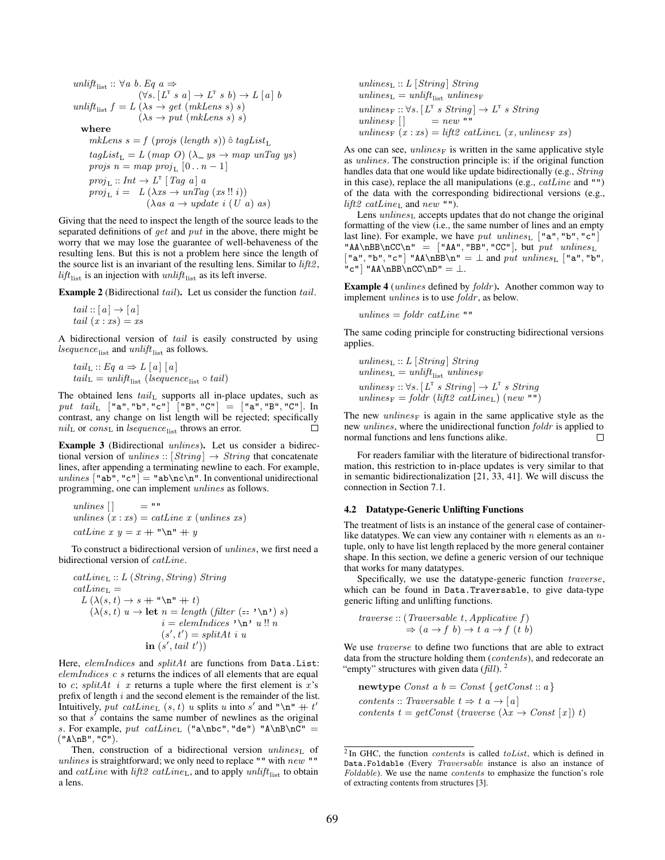$$
\begin{array}{ll}\textit{unlift}_{\text{list}}:: \forall a\ b.\ Eq\ a \Rightarrow \newline (\forall s.\ [L^T\ s\ a] \rightarrow L^T\ s\ b) \rightarrow L\ [a]\ b \\\textit{unlift}_{\text{list}}\ f=L\ (\lambda s\rightarrow get\ (mkLens\ s)\ s) \quad (\lambda s\rightarrow put\ (mkLens\ s)\ s) \\\textit{where}\end{array}
$$

mkLens  $s = f$  (projs (length s))  $\hat{\circ}$  tagList<sub>L</sub>  $tagList_{L} = L (map O) (\lambda_{-} ys \rightarrow map unTag ys)$ projs  $n = map \ proj_{\mathcal{L}} [0 \dots n-1]$  $proj_{\mathcal{L}} :: Int \rightarrow L^{\mathcal{T}} [Tag a] a$  $proj_L i = L(\lambda xs \rightarrow unTag (xs!! i))$  $(\lambda as \ a \rightarrow update \ i \ (U \ a) \ as)$ 

Giving that the need to inspect the length of the source leads to the separated definitions of get and put in the above, there might be worry that we may lose the guarantee of well-behaveness of the resulting lens. But this is not a problem here since the length of the source list is an invariant of the resulting lens. Similar to  $lift2$ ,  $lift_{\text{list}}$  is an injection with  $unlift_{\text{list}}$  as its left inverse.

Example 2 (Bidirectional tail). Let us consider the function tail.

tail  $:: [a] \rightarrow [a]$ tail  $(x : xs) = xs$ 

A bidirectional version of tail is easily constructed by using lsequence $_{\text{list}}$  and unlift<sub>list</sub> as follows.

$$
tail_{\mathcal{L}} :: Eq \ a \Rightarrow L \ [a] \ [a]
$$

$$
tail_{\mathcal{L}} = unlift_{\text{list}} \ (lsequence_{\text{list}} \circ tail)
$$

The obtained lens  $tail_L$  supports all in-place updates, such as  $\emph{put } \quad \emph{tail}_{\rm L} \quad [\texttt{``a''}, \texttt{``b''}, \texttt{``c''}]\quad [\texttt{``B''}, \texttt{``C''}]\ =\ [\texttt{``a''}, \texttt{``B''}, \texttt{``C''}].\ \ \texttt{In}$ contrast, any change on list length will be rejected; specifically  $nil_{\text{L}}$  or  $cons_{\text{L}}$  in lsequence<sub>list</sub> throws an error.  $\Box$ 

Example 3 (Bidirectional unlines). Let us consider a bidirectional version of unlines ::  $[String] \rightarrow String$  that concatenate lines, after appending a terminating newline to each. For example, unlines ["ab", "c"] = "ab\nc\n". In conventional unidirectional programming, one can implement unlines as follows.

unlines [ ] = "" unlines (x : xs) = catLine x (unlines xs) catLine x y = x ++ "\n" ++ y

To construct a bidirectional version of unlines, we first need a bidirectional version of catLine.

$$
catLine_{L} :: L (String, String) String
$$
  
\n
$$
catLine_{L} =
$$
  
\n
$$
L(\lambda(s, t) \rightarrow s + "\mathbf{n}" + t)
$$
  
\n
$$
(\lambda(s, t) u \rightarrow \text{let } n = length (filter (= "\mathbf{n}") s)
$$
  
\n
$$
i = elemIndices "\mathbf{n}" u!! n
$$
  
\n
$$
(s', t') = splitAt i u
$$
  
\n
$$
in (s', tail t'))
$$

Here, elemIndices and splitAt are functions from Data.List: elemIndices c s returns the indices of all elements that are equal to c; splitAt i x returns a tuple where the first element is  $x$ 's prefix of length  $i$  and the second element is the remainder of the list. Intuitively, put catLine<sub>L</sub>  $(s, t)$  u splits u into s' and "\n" + t' so that  $s'$  contains the same number of newlines as the original s. For example, put  $catLine_{L}$  ("a\nbc", "de") "A\nB\nC" = ("A\nB", "C").

Then, construction of a bidirectional version unlines<sub>L</sub> of  $unlines$  is straightforward; we only need to replace "" with  $new$  "" and catLine with lift2 catLine<sub>L</sub>, and to apply unlift<sub>list</sub> to obtain a lens.

 $unlines<sub>L</sub> :: L [String] String$  $unlines_\mathrm{L} = \mathit{unlift}_\mathrm{list} \ \mathit{unlines}_\mathrm{F}$ unlines<sub>F</sub> :: ∀s. [L<sup>T</sup> s String]  $\rightarrow$  L<sup>T</sup> s String unlines<sub>F</sub>  $\left[ \right]$  = new "" unlines<sub>F</sub>  $(x : xs) = lift2 \text{ }catLine_{L} (x, unlines_{F} xs)$ 

As one can see,  $unlines_F$  is written in the same applicative style as unlines. The construction principle is: if the original function handles data that one would like update bidirectionally (e.g., String in this case), replace the all manipulations (e.g.,  $catLine$  and "") of the data with the corresponding bidirectional versions (e.g., lift2  $catLine<sub>L</sub>$  and  $new$  "").

Lens  $unlines<sub>L</sub>$  accepts updates that do not change the original formatting of the view (i.e., the same number of lines and an empty last line). For example, we have put unlines<sub>L</sub> ["a", "b", "c"]  $\n "AA\n \nB\n \n C\n \n "E" A\n "BB", "CC"], but put *unlines*$  $['a", "b", "c"] "AA\nBB\n'' = \perp and put unless \perp "a", "b",$  $"c"$ ] "AA\nBB\nCC\nD" =  $\perp$ .

**Example 4** (*unlines* defined by *foldr*). Another common way to implement *unlines* is to use *foldr*, as below.

unlines  $=$  foldr catLine ""

The same coding principle for constructing bidirectional versions applies.

unlines $L :: L$  [String] String unlines<sub>L</sub> = unlift<sub>list</sub> unlines<sub>F</sub> unlines<sub>F</sub> :: ∀s. [L<sup>T</sup> s String]  $\rightarrow$  L<sup>T</sup> s String unlines<sub>F</sub> = foldr (lift2 catLine<sub>L</sub>) (new "")

The new *unlines* $F$  is again in the same applicative style as the new *unlines*, where the unidirectional function *foldr* is applied to normal functions and lens functions alike.  $\Box$ 

For readers familiar with the literature of bidirectional transformation, this restriction to in-place updates is very similar to that in semantic bidirectionalization [21, 33, 41]. We will discuss the connection in Section 7.1.

#### 4.2 Datatype-Generic Unlifting Functions

The treatment of lists is an instance of the general case of containerlike datatypes. We can view any container with  $n$  elements as an  $n$ tuple, only to have list length replaced by the more general container shape. In this section, we define a generic version of our technique that works for many datatypes.

Specifically, we use the datatype-generic function traverse, which can be found in Data.Traversable, to give data-type generic lifting and unlifting functions.

$$
traverse :: (Traversable t, Applicative f)
$$
  

$$
\Rightarrow (a \rightarrow f b) \rightarrow t a \rightarrow f (t b)
$$

We use *traverse* to define two functions that are able to extract data from the structure holding them (*contents*), and redecorate an "empty" structures with given data (fill).  $2$ 

**newtype** Const a 
$$
b = Const \{ getConst :: a\}
$$
  
contents :: Traversable  $t \Rightarrow t a \rightarrow [a]$   
contents  $t = getConst (traverse (\lambda x \rightarrow Const [x]) t)$ 

<sup>&</sup>lt;sup>2</sup> In GHC, the function *contents* is called *toList*, which is defined in Data.Foldable (Every Traversable instance is also an instance of Foldable). We use the name contents to emphasize the function's role of extracting contents from structures [3].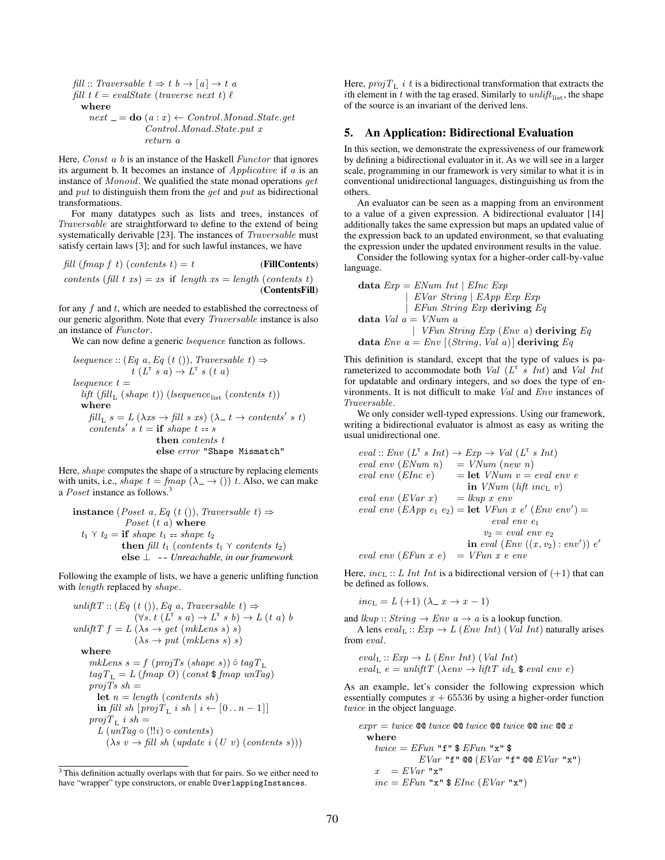$fill :: Traversable$   $t \Rightarrow t$   $b \rightarrow [a] \rightarrow t$  a fill  $t \ell = evalState$  (traverse next t)  $\ell$ 

#### where

 $next = do (a : x) \leftarrow Control. Monad.State.get$ Control.Monad.State.put x return a

Here, *Const a b* is an instance of the Haskell *Functor* that ignores its argument b. It becomes an instance of Applicative if a is an instance of  $Monoid$ . We qualified the state monad operations  $get$ and put to distinguish them from the get and put as bidirectional transformations.

For many datatypes such as lists and trees, instances of Traversable are straightforward to define to the extend of being systematically derivable [23]. The instances of *Traversable* must satisfy certain laws [3]; and for such lawful instances, we have

fill (fmap f t) (contents t) = t (FillContents) contents (fill t xs) = xs if length xs = length (contents t) (ContentsFill)

for any  $f$  and  $t$ , which are needed to established the correctness of our generic algorithm. Note that every Traversable instance is also an instance of Functor.

We can now define a generic *lsequence* function as follows.

$$
\begin{array}{l} \textit{sequence} :: (\textit{Eq a}, \textit{Eq (t)})), \textit{Traversable t)} \Rightarrow \\ \textit{t (L}^{\text{T} s a)} \rightarrow L^{\text{T} s (t a)} \\ \textit{sequence } t = \\ \textit{lift (fill_{L} (shape t)) (lequence_{\text{list}} (contents t))} \\ \textbf{where} \\ \textit{fill_{L} s = L (\lambda xs \rightarrow fill s xs) (\lambda_t t \rightarrow contents's t)} \\ \textit{contents's t = if shape t = s} \\ \textit{then contents t} \\ \textit{else error "Shape Mismatch"} \end{array}
$$

Here, shape computes the shape of a structure by replacing elements with units, i.e., *shape*  $t = \text{fmap}(\lambda \rightarrow () ) t$ . Also, we can make a *Poset* instance as follows.<sup>3</sup>

**instance** (*Post a, Eq (t ()), Traversable t*) 
$$
\Rightarrow
$$
  
\n*Post (t a)* **where**  
\n $t_1 \vee t_2 = \textbf{if shape } t_1 = \text{shape } t_2$   
\n**then** fill  $t_1$  (*contents*  $t_1 \vee \text{ contents t_2)\nelse  $\perp$  *-- Unreachable, in our framework*$ 

Following the example of lists, we have a generic unlifting function with *length* replaced by *shape*.

$$
unliftT :: (Eq (t ()), Eq a, Traversable t) \Rightarrow
$$
  
\n
$$
(\forall s. t (L^T s a) \rightarrow L^T s b) \rightarrow L (t a) b
$$
  
\n
$$
unliftT f = L (\lambda s \rightarrow get (mkLens s) s)
$$
  
\n
$$
(\lambda s \rightarrow put (mkLens s) s)
$$
  
\nwhere  
\nmkLens s = f (projTs (shape s))  $\hat{o}$  tagT<sub>L</sub>  
\ntagT<sub>L</sub> = L (franp O) (const \$franp unTag)  
\nprojTs sh =  
\nlet n = length (contents sh)  
\nin fill sh [projT<sub>L</sub> i sh | i \leftarrow [0...n-1]]  
\nprojT<sub>L</sub> i sh =  
\nL (unTag o (!i) o contents)  
\n
$$
(\lambda s v \rightarrow fill sh (update i (U v) (contents s)))
$$

Here,  $projT_{\text{L}}$  *i t* is a bidirectional transformation that extracts the ith element in t with the tag erased. Similarly to  $unlift_{\text{list}}$ , the shape of the source is an invariant of the derived lens.

#### 5. An Application: Bidirectional Evaluation

In this section, we demonstrate the expressiveness of our framework by defining a bidirectional evaluator in it. As we will see in a larger scale, programming in our framework is very similar to what it is in conventional unidirectional languages, distinguishing us from the others.

An evaluator can be seen as a mapping from an environment to a value of a given expression. A bidirectional evaluator [14] additionally takes the same expression but maps an updated value of the expression back to an updated environment, so that evaluating the expression under the updated environment results in the value.

Consider the following syntax for a higher-order call-by-value language.

| data $Exp = ENum$ | Int                                         | Elnc $Exp$ |       |            |                    |      |
|-------------------|---------------------------------------------|------------|-------|------------|--------------------|------|
|                   | $EVar$                                      | $Exp$      | $Exp$ | $Exp$      |                    |      |
|                   | $EFun$                                      | $String$   | $Exp$ | $deriving$ | $Eq$               |      |
| data $Val$        | a = $VNum$                                  | a          |       |            |                    |      |
|                   | $VFun$                                      | $String$   | $Exp$ | $(Env$     | a) <b>deriving</b> | $Eq$ |
| data $Env$        | a = $Env$ [(String, Val a)] <b>deriving</b> | $Eq$       |       |            |                    |      |

This definition is standard, except that the type of values is parameterized to accommodate both  $Val(L^{T} s Int)$  and  $ValInt$ for updatable and ordinary integers, and so does the type of environments. It is not difficult to make Val and Env instances of Traversable.

We only consider well-typed expressions. Using our framework, writing a bidirectional evaluator is almost as easy as writing the usual unidirectional one.

eval :: Env 
$$
(L^T s Int) \rightarrow Exp \rightarrow Val (L^T s Int)
$$
  
\neval env (ENum n) = VNum (new n)  
\neval env (Elnc e) = let VNum v = eval env e  
\nin VNum (lift inc<sub>L</sub> v)  
\neval env (EVar x) = lkup x env  
\neval env (EApp e<sub>1</sub> e<sub>2</sub>) = let VFun x e' (Env env') =  
\neval env e<sub>1</sub>  
\n $v_2 = eval env e_2$   
\nin eval (Env ((x, v<sub>2</sub>): env')) e'  
\neval env (EFun x e) = VFun x e env

Here,  $inc_{\text{L}} :: L Int Int$  is a bidirectional version of  $(+1)$  that can be defined as follows.

$$
inc_{L} = L (+1) (\lambda - x \rightarrow x - 1)
$$

and  $\text{lkup}$  ::  $\text{String} \rightarrow \text{Env} \ a \rightarrow a$  is a lookup function. A lens  $eval_{L}$ :  $Exp \rightarrow L$  (*Env Int*) (*Val Int*) naturally arises from eval.

$$
eval_L :: Exp \rightarrow L \ (Env \ Int) \ (Val \ Int)
$$
  

$$
eval_L \ e = unliftT \ (\lambda env \rightarrow liftT \ id_L \ \$ \ eval \ env \ e)
$$

As an example, let's consider the following expression which essentially computes  $x + 65536$  by using a higher-order function twice in the object language.

$$
expr = twice \circledast twice \circledast twice \circledast twice \circledast inc \circledast x
$$
\n
$$
\begin{array}{rcl}\n\text{where} \\
twice &= EFun \cdot \mathbf{f} \cdot \mathbf{\$} EFun \cdot \mathbf{r} \cdot \mathbf{\$} \\
&= EVar \cdot \mathbf{f} \cdot \mathbf{\$} EFun \cdot \mathbf{r} \cdot \mathbf{\$} \\
&= EVar \cdot \mathbf{r} \cdot \mathbf{\$} \\
& = EVar \cdot \mathbf{r} \cdot \mathbf{\$} \\
& inc = EFun \cdot \mathbf{r} \cdot \mathbf{\$} EInc \quad (EVar \cdot \mathbf{r} \cdot \mathbf{\$}^n)\n\end{array}
$$

<sup>3</sup> This definition actually overlaps with that for pairs. So we either need to have "wrapper" type constructors, or enable OverlappingInstances.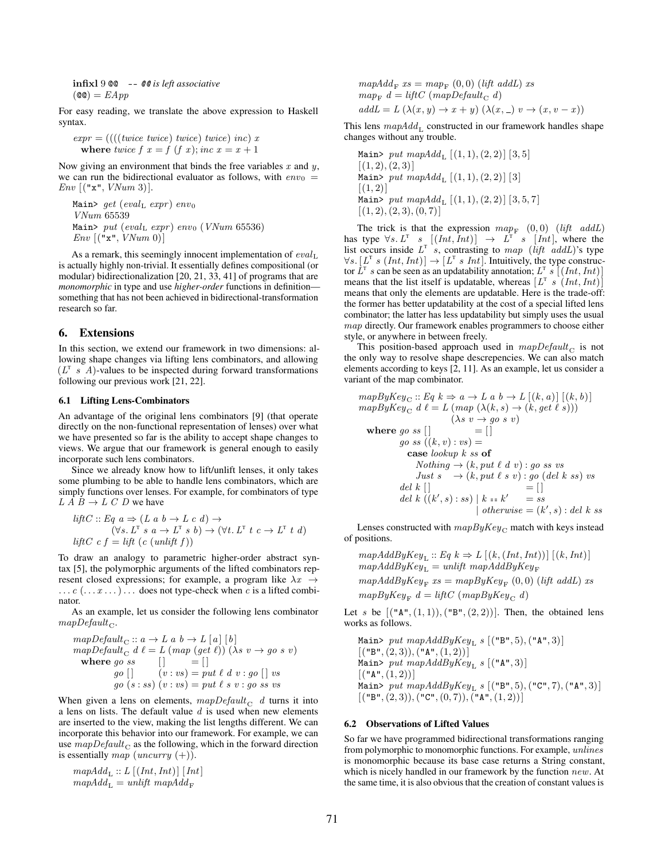**infixl** 9 **@** -- **@** is left associative  

$$
(\text{@}) = EApp
$$

For easy reading, we translate the above expression to Haskell syntax.

$$
expr = ((( (twice\ twice)\ twice)\ twice)\ inc) \ x
$$
  
where  $twice\ f\ x = f\ (f\ x); inc\ x = x + 1$ 

Now giving an environment that binds the free variables  $x$  and  $y$ , we can run the bidirectional evaluator as follows, with  $env_0 =$  $Env$  [("x",  $VNum$  3)].

```
Main> get (eval<sub>L</sub> expr) env<sub>0</sub>
VNum 65539
Main> put (eval<sub>L</sub> expr) env<sub>0</sub> (VNum 65536)
Env [("\mathbf{x}", VNum 0)]
```
As a remark, this seemingly innocent implementation of  $eval_{L}$ is actually highly non-trivial. It essentially defines compositional (or modular) bidirectionalization [20, 21, 33, 41] of programs that are *monomorphic* in type and use *higher-order* functions in definition something that has not been achieved in bidirectional-transformation research so far.

#### 6. Extensions

In this section, we extend our framework in two dimensions: allowing shape changes via lifting lens combinators, and allowing  $(L^{\mathsf{T}} \ s \ A)$ -values to be inspected during forward transformations following our previous work [21, 22].

#### 6.1 Lifting Lens-Combinators

An advantage of the original lens combinators [9] (that operate directly on the non-functional representation of lenses) over what we have presented so far is the ability to accept shape changes to views. We argue that our framework is general enough to easily incorporate such lens combinators.

Since we already know how to lift/unlift lenses, it only takes some plumbing to be able to handle lens combinators, which are simply functions over lenses. For example, for combinators of type  $L \overline{A} B \rightarrow L \overline{C} D$  we have

$$
liftC :: Eq \ a \Rightarrow (L \ a \ b \rightarrow L \ c \ d) \rightarrow
$$
  

$$
(\forall s. \ L^T \ s \ a \rightarrow L^T \ s \ b) \rightarrow (\forall t. \ L^T \ t \ c \rightarrow L^T \ t \ d)
$$
  

$$
liftC \ c \ f = lift \ (c \ (unlift \ f))
$$

To draw an analogy to parametric higher-order abstract syntax [5], the polymorphic arguments of the lifted combinators represent closed expressions; for example, a program like  $\lambda x \rightarrow$  $\dots c(\dots x \dots) \dots$  does not type-check when c is a lifted combinator.

As an example, let us consider the following lens combinator  $mapDefault_C.$ 

$$
mapDefault_{C} :: a \rightarrow L a b \rightarrow L [a] [b]
$$
  
\n
$$
mapDefault_{C} d \ell = L (map (get \ell)) (\lambda s v \rightarrow go s v)
$$
  
\nwhere  $go ss$  [] = []  
\n
$$
go [] \qquad (v : vs) = put \ell d v : go [] vs
$$
  
\n
$$
go (s : ss) (v : vs) = put \ell s v : go ss vs
$$

When given a lens on elements,  $mapDefault_C$  d turns it into a lens on lists. The default value  $d$  is used when new elements are inserted to the view, making the list lengths different. We can incorporate this behavior into our framework. For example, we can use  $mapDefault_C$  as the following, which in the forward direction is essentially map (uncurry  $(+)$ ).

$$
mapAdd_{L} :: L [(Int, Int)] [Int]
$$

$$
mapAdd_{L} = unlift mapAdd_{F}
$$

$$
mapAdd_{F} \; xs = map_{F} \; (0,0) \; (lift \; addL) \; xs
$$

$$
map_{F} \; d = liftC \; (mapDefault_{C} \; d)
$$

$$
addL = L \; (\lambda(x, y) \to x + y) \; (\lambda(x, -) \; v \to (x, v - x))
$$

This lens  $mapAdd_{L}$  constructed in our framework handles shape changes without any trouble.

Main> put  $mapAdd_{L} [(1, 1), (2, 2)] [3, 5]$  $[(1, 2), (2, 3)]$ Main> put  $mapAdd_{L} [(1, 1), (2, 2)] [3]$  $[(1, 2)]$ Main> put  $mapAdd_{L} [(1, 1), (2, 2)] [3, 5, 7]$  $[(1, 2), (2, 3), (0, 7)]$ 

The trick is that the expression  $map_F$  (0,0) (lift addL) has type  $\forall s$ .  $L^T$  s  $[(Int,Int)] \rightarrow L^T$  s  $[Int]$ , where the list occurs inside  $L^T$  s, contrasting to map (lift addL)'s type  $\forall s. [L^{\mathsf{T}} s (Int, Int)] \rightarrow [L^{\mathsf{T}} s Int].$  Intuitively, the type constructor  $L^T$  s can be seen as an updatability annotation;  $L^T$  s  $[(Int,Int)]$ means that the list itself is updatable, whereas  $[L^T s (Int, Int)]$ means that only the elements are updatable. Here is the trade-off: the former has better updatability at the cost of a special lifted lens combinator; the latter has less updatability but simply uses the usual map directly. Our framework enables programmers to choose either style, or anywhere in between freely.

This position-based approach used in  $mapDefault_C$  is not the only way to resolve shape descrepencies. We can also match elements according to keys [2, 11]. As an example, let us consider a variant of the map combinator.

$$
mapByKey_C :: Eq \ k \Rightarrow a \to L \ a \ b \to L \ [(k, a)] \ [(k, b)]
$$
  
\n
$$
mapByKey_C d \ \ell = L \ (map \ (\lambda(k, s) \to (k, get \ \ell \ s)))
$$
  
\n
$$
(\lambda s \ v \to go \ s \ v)
$$
  
\nwhere  $go \ ss \ [|\ ] = []$   
\n
$$
go \ ss \ ((k, v) : vs) =
$$
  
\n
$$
case \ lookup \ k \ ss \ of
$$
  
\n
$$
Nothing \to (k, put \ \ell \ d \ v) : go \ ss \ vs
$$
  
\n
$$
Just \ s \to (k, put \ \ell \ s \ v) : go \ (del \ k \ ss)
$$
  
\n
$$
del \ k [] = []
$$
  
\n
$$
del \ k \ ([k', s) : ss) \ | \ k = k' \ = ss
$$
  
\n
$$
otherwise = (k', s) : del \ k \ ss
$$

Lenses constructed with  $mapByKey_C$  match with keys instead of positions.

 $mapAddByKey_{L} :: Eq \ k \Rightarrow L\left[ (k,(Int,Int))\right] \left[ (k,Int)\right]$  $mapAddByKey_{L}^{-} = unlift mapAddByKey_{F}^{-}$  $mapAddByKey_F$   $xs = mapByKey_F (0,0)$  (lift addL) xs

 $mapByKey_F d = liftC (mapByKey_C d)$ 

Let s be  $[(\mathbf{n}, (1, 1)), (\mathbf{n}, (2, 2))]$ . Then, the obtained lens works as follows.

Main> put  $mapAddByKey_{L} s$  [("B", 5), ("A", 3)]  $[("B", (2, 3)), ("A", (1, 2))]$ Main> put  $mapAddByKey_{L} s$  [("A", 3)]  $[$  ("A",  $(1, 2)$ )] Main> put  $mapAddByKey_{L} s$  [("B", 5), ("C", 7), ("A", 3)]  $[({}^{\mathsf{u}}\mathsf{B}^{\mathsf{u}},(2,3)),({}^{\mathsf{u}}\mathsf{C}^{\mathsf{u}},(0,7)),({}^{\mathsf{u}}\mathsf{A}^{\mathsf{u}},(1,2))]$ 

#### 6.2 Observations of Lifted Values

So far we have programmed bidirectional transformations ranging from polymorphic to monomorphic functions. For example, unlines is monomorphic because its base case returns a String constant, which is nicely handled in our framework by the function new. At the same time, it is also obvious that the creation of constant values is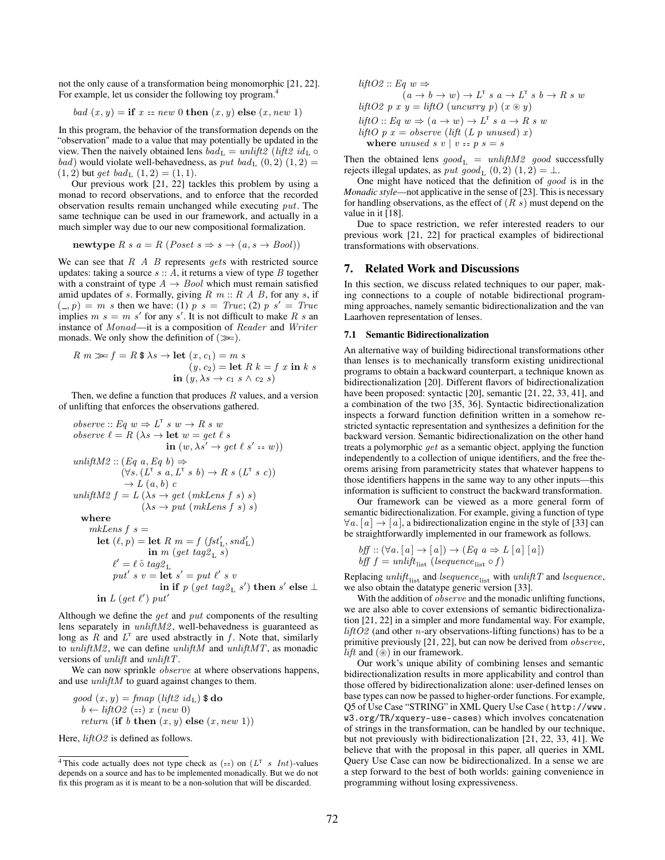not the only cause of a transformation being monomorphic [21, 22]. For example, let us consider the following toy program.<sup>4</sup>

bad 
$$
(x, y)
$$
 = if  $x = new 0$  then  $(x, y)$  else  $(x, new 1)$ 

In this program, the behavior of the transformation depends on the "observation" made to a value that may potentially be updated in the view. Then the naively obtained lens  $bad_L = unlift2$  (lift  $2id_L \circ$ *bad*) would violate well-behavedness, as put bad<sub>L</sub>  $(0, 2)$   $(1, 2)$  =  $(1, 2)$  but get bad<sub>L</sub>  $(1, 2) = (1, 1)$ .

Our previous work [21, 22] tackles this problem by using a monad to record observations, and to enforce that the recorded observation results remain unchanged while executing put. The same technique can be used in our framework, and actually in a much simpler way due to our new compositional formalization.

$$
newtype R s a = R (Poset s \Rightarrow s \rightarrow (a, s \rightarrow Bool))
$$

We can see that  $R$   $\overline{A}$   $\overline{B}$  represents *gets* with restricted source updates: taking a source  $s :: A$ , it returns a view of type B together with a constraint of type  $A \rightarrow Bool$  which must remain satisfied amid updates of s. Formally, giving  $R \, m :: R \, A \, B$ , for any s, if  $(0, p) = m$  s then we have: (1) p s = True; (2) p s' = True implies  $m s = m s'$  for any s'. It is not difficult to make R s an instance of Monad—it is a composition of Reader and Writer monads. We only show the definition of  $(\gg)$ .

$$
R \ m \gg f = R \ \$ \lambda s \to \text{let } (x, c_1) = m \ s
$$
  
(*y*, *c*<sub>2</sub>) = let  $R \ k = f \ x \ \text{in} \ k \ s$   
in (*y*,  $\lambda s \to c_1 \ s \land c_2 \ s$ )

Then, we define a function that produces  $R$  values, and a version of unlifting that enforces the observations gathered.

*observe* :: Eq 
$$
w \Rightarrow L^T s w \rightarrow R s w
$$
  
\n*observe*  $\ell = R (\lambda s \rightarrow \text{let } w = get \ell s$   
\n $\text{in } (w, \lambda s' \rightarrow get \ell s' == w))$   
\n*unlightM2* ::  $(Eq \ a, Eq \ b) \Rightarrow$   
\n $(\forall s. (L^T s a, L^T s b) \rightarrow R s (L^T s c))$   
\n $\rightarrow L (a, b) c$   
\n*unlightM2*  $f = L (\lambda s \rightarrow get (mkLens f s) s)$   
\n $(\lambda s \rightarrow put (mkLens f s) s)$   
\nwhere  
\nmkLens f  $s =$   
\nlet  $(\ell, p) = \text{let } R \ m = f (fst'_L, snd'_L)$   
\n $\text{in } m (get tag2_L s)$   
\n $\ell' = \ell \ \hat{o} tag2_L$   
\n $put' s v = \text{let } s' = put \ \ell' s v$ 

 $\quad \text{in if} \,\,p\,\,(get \,\, tag \mathbb{2}_\mathrm{L}\,\, s') \text{ then } s' \text{ else } \bot$ in  $L$  (get  $\ell'$ ) put'

Although we define the get and put components of the resulting lens separately in *unliftM2*, well-behavedness is guaranteed as long as R and  $L^T$  are used abstractly in f. Note that, similarly to  $unliftM2$ , we can define  $unliftM$  and  $unliftMT$ , as monadic versions of *unlift* and *unliftT*.

We can now sprinkle *observe* at where observations happens, and use  $unliftM$  to guard against changes to them.

$$
good(x, y) = fmap (lift2 idL)
$$
 \$ do  
\n
$$
b \leftarrow liftO2 (=x) x (new 0)
$$
  
\nreturn (if b then (x, y) else (x, new 1))

Here, *liftO2* is defined as follows.

$$
liftO2 :: Eq \t w \Rightarrow
$$
  
\n
$$
(a \rightarrow b \rightarrow w) \rightarrow L^T s a \rightarrow L^T s b \rightarrow R s w
$$
  
\n
$$
liftO2 p x y = liftO (uncarry p) (x \otimes y)
$$
  
\n
$$
liftO :: Eq \t w \Rightarrow (a \rightarrow w) \rightarrow L^T s a \rightarrow R s w
$$
  
\n
$$
liftO p x = observe (lift (L p unused) x)
$$
  
\nwhere unused s v | v == p s = s

Then the obtained lens  $good_L = unliftM2 \text{ good success}$ rejects illegal updates, as *put good*<sub>L</sub>  $(0, 2)$   $(1, 2) = \perp$ .

One might have noticed that the definition of good is in the *Monadic style*—not applicative in the sense of [23]. This is necessary for handling observations, as the effect of  $(R \, s)$  must depend on the value in it [18].

Due to space restriction, we refer interested readers to our previous work [21, 22] for practical examples of bidirectional transformations with observations.

#### 7. Related Work and Discussions

In this section, we discuss related techniques to our paper, making connections to a couple of notable bidirectional programming approaches, namely semantic bidirectionalization and the van Laarhoven representation of lenses.

#### 7.1 Semantic Bidirectionalization

An alternative way of building bidirectional transformations other than lenses is to mechanically transform existing unidirectional programs to obtain a backward counterpart, a technique known as bidirectionalization [20]. Different flavors of bidirectionalization have been proposed: syntactic [20], semantic [21, 22, 33, 41], and a combination of the two [35, 36]. Syntactic bidirectionalization inspects a forward function definition written in a somehow restricted syntactic representation and synthesizes a definition for the backward version. Semantic bidirectionalization on the other hand treats a polymorphic get as a semantic object, applying the function independently to a collection of unique identifiers, and the free theorems arising from parametricity states that whatever happens to those identifiers happens in the same way to any other inputs—this information is sufficient to construct the backward transformation.

Our framework can be viewed as a more general form of semantic bidirectionalization. For example, giving a function of type  $\forall a. [a] \rightarrow [a]$ , a bidirectionalization engine in the style of [33] can be straightforwardly implemented in our framework as follows.

$$
bff :: (\forall a . [a] \rightarrow [a]) \rightarrow (Eq \ a \Rightarrow L [a] [a])
$$
  

$$
bff = unlift_{\text{list}} (lsequence_{\text{list}} \circ f)
$$

Replacing  $unlift_{\text{list}}$  and  $lequence_{\text{list}}$  with  $unliftT$  and  $lequence,$ we also obtain the datatype generic version [33].

With the addition of *observe* and the monadic unlifting functions, we are also able to cover extensions of semantic bidirectionalization [21, 22] in a simpler and more fundamental way. For example,  $liftO2$  (and other *n*-ary observations-lifting functions) has to be a primitive previously [21, 22], but can now be derived from observe, *lift* and  $(\circledast)$  in our framework.

Our work's unique ability of combining lenses and semantic bidirectionalization results in more applicability and control than those offered by bidirectionalization alone: user-defined lenses on base types can now be passed to higher-order functions. For example, Q5 of Use Case "STRING" in XML Query Use Case ( http://www. w3.org/TR/xquery-use-cases) which involves concatenation of strings in the transformation, can be handled by our technique, but not previously with bidirectionalization [21, 22, 33, 41]. We believe that with the proposal in this paper, all queries in XML Query Use Case can now be bidirectionalized. In a sense we are a step forward to the best of both worlds: gaining convenience in programming without losing expressiveness.

<sup>&</sup>lt;sup>4</sup> This code actually does not type check as  $(==)$  on  $(L<sup>T</sup> s Int)$ -values depends on a source and has to be implemented monadically. But we do not fix this program as it is meant to be a non-solution that will be discarded.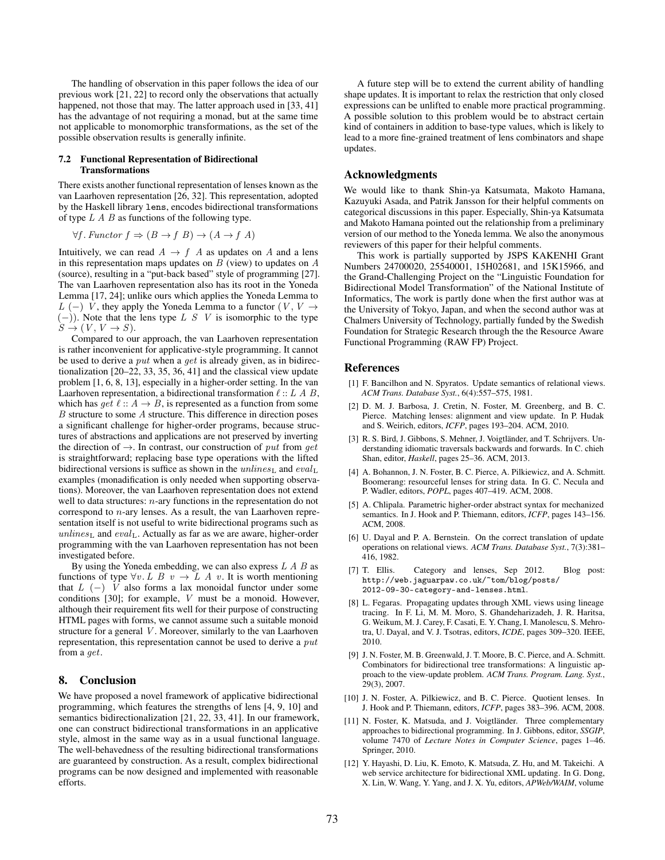The handling of observation in this paper follows the idea of our previous work [21, 22] to record only the observations that actually happened, not those that may. The latter approach used in [33, 41] has the advantage of not requiring a monad, but at the same time not applicable to monomorphic transformations, as the set of the possible observation results is generally infinite.

#### 7.2 Functional Representation of Bidirectional Transformations

There exists another functional representation of lenses known as the van Laarhoven representation [26, 32]. This representation, adopted by the Haskell library lens, encodes bidirectional transformations of type  $L A B$  as functions of the following type.

 $\forall f$ . Functor  $f \Rightarrow (B \rightarrow f B) \rightarrow (A \rightarrow f A)$ 

Intuitively, we can read  $A \rightarrow f A$  as updates on A and a lens in this representation maps updates on  $B$  (view) to updates on  $A$ (source), resulting in a "put-back based" style of programming [27]. The van Laarhoven representation also has its root in the Yoneda Lemma [17, 24]; unlike ours which applies the Yoneda Lemma to L (−) V, they apply the Yoneda Lemma to a functor (V, V  $\rightarrow$  $(-)$ ). Note that the lens type L S V is isomorphic to the type  $S \to (V, V \to S).$ 

Compared to our approach, the van Laarhoven representation is rather inconvenient for applicative-style programming. It cannot be used to derive a *put* when a *get* is already given, as in bidirectionalization [20–22, 33, 35, 36, 41] and the classical view update problem [1, 6, 8, 13], especially in a higher-order setting. In the van Laarhoven representation, a bidirectional transformation  $\ell$  :: L A B, which has *qet*  $\ell$  ::  $A \rightarrow B$ , is represented as a function from some B structure to some A structure. This difference in direction poses a significant challenge for higher-order programs, because structures of abstractions and applications are not preserved by inverting the direction of  $\rightarrow$ . In contrast, our construction of put from get is straightforward; replacing base type operations with the lifted bidirectional versions is suffice as shown in the  $unlines<sub>L</sub>$  and  $eval<sub>L</sub>$ examples (monadification is only needed when supporting observations). Moreover, the van Laarhoven representation does not extend well to data structures:  $n$ -ary functions in the representation do not correspond to n-ary lenses. As a result, the van Laarhoven representation itself is not useful to write bidirectional programs such as  $unlines<sub>L</sub>$  and  $eval<sub>L</sub>$ . Actually as far as we are aware, higher-order programming with the van Laarhoven representation has not been investigated before.

By using the Yoneda embedding, we can also express  $L \land B$  as functions of type  $\forall v$ . L B  $v \rightarrow L$  A v. It is worth mentioning that  $L$  (−) V also forms a lax monoidal functor under some conditions [30]; for example, V must be a monoid. However, although their requirement fits well for their purpose of constructing HTML pages with forms, we cannot assume such a suitable monoid structure for a general V. Moreover, similarly to the van Laarhoven representation, this representation cannot be used to derive a put from a get.

#### 8. Conclusion

We have proposed a novel framework of applicative bidirectional programming, which features the strengths of lens [4, 9, 10] and semantics bidirectionalization [21, 22, 33, 41]. In our framework, one can construct bidirectional transformations in an applicative style, almost in the same way as in a usual functional language. The well-behavedness of the resulting bidirectional transformations are guaranteed by construction. As a result, complex bidirectional programs can be now designed and implemented with reasonable efforts.

A future step will be to extend the current ability of handling shape updates. It is important to relax the restriction that only closed expressions can be unlifted to enable more practical programming. A possible solution to this problem would be to abstract certain kind of containers in addition to base-type values, which is likely to lead to a more fine-grained treatment of lens combinators and shape updates.

#### Acknowledgments

We would like to thank Shin-ya Katsumata, Makoto Hamana, Kazuyuki Asada, and Patrik Jansson for their helpful comments on categorical discussions in this paper. Especially, Shin-ya Katsumata and Makoto Hamana pointed out the relationship from a preliminary version of our method to the Yoneda lemma. We also the anonymous reviewers of this paper for their helpful comments.

This work is partially supported by JSPS KAKENHI Grant Numbers 24700020, 25540001, 15H02681, and 15K15966, and the Grand-Challenging Project on the "Linguistic Foundation for Bidirectional Model Transformation" of the National Institute of Informatics, The work is partly done when the first author was at the University of Tokyo, Japan, and when the second author was at Chalmers University of Technology, partially funded by the Swedish Foundation for Strategic Research through the the Resource Aware Functional Programming (RAW FP) Project.

#### References

- [1] F. Bancilhon and N. Spyratos. Update semantics of relational views. *ACM Trans. Database Syst.*, 6(4):557–575, 1981.
- [2] D. M. J. Barbosa, J. Cretin, N. Foster, M. Greenberg, and B. C. Pierce. Matching lenses: alignment and view update. In P. Hudak and S. Weirich, editors, *ICFP*, pages 193–204. ACM, 2010.
- [3] R. S. Bird, J. Gibbons, S. Mehner, J. Voigtländer, and T. Schrijvers. Understanding idiomatic traversals backwards and forwards. In C. chieh Shan, editor, *Haskell*, pages 25–36. ACM, 2013.
- [4] A. Bohannon, J. N. Foster, B. C. Pierce, A. Pilkiewicz, and A. Schmitt. Boomerang: resourceful lenses for string data. In G. C. Necula and P. Wadler, editors, *POPL*, pages 407–419. ACM, 2008.
- [5] A. Chlipala. Parametric higher-order abstract syntax for mechanized semantics. In J. Hook and P. Thiemann, editors, *ICFP*, pages 143–156. ACM, 2008.
- [6] U. Dayal and P. A. Bernstein. On the correct translation of update operations on relational views. *ACM Trans. Database Syst.*, 7(3):381– 416, 1982.
- [7] T. Ellis. Category and lenses, Sep 2012. Blog post: http://web.jaguarpaw.co.uk/~tom/blog/posts/ 2012-09-30-category-and-lenses.html.
- [8] L. Fegaras. Propagating updates through XML views using lineage tracing. In F. Li, M. M. Moro, S. Ghandeharizadeh, J. R. Haritsa, G. Weikum, M. J. Carey, F. Casati, E. Y. Chang, I. Manolescu, S. Mehrotra, U. Dayal, and V. J. Tsotras, editors, *ICDE*, pages 309–320. IEEE, 2010.
- [9] J. N. Foster, M. B. Greenwald, J. T. Moore, B. C. Pierce, and A. Schmitt. Combinators for bidirectional tree transformations: A linguistic approach to the view-update problem. *ACM Trans. Program. Lang. Syst.*, 29(3), 2007.
- [10] J. N. Foster, A. Pilkiewicz, and B. C. Pierce. Quotient lenses. In J. Hook and P. Thiemann, editors, *ICFP*, pages 383–396. ACM, 2008.
- [11] N. Foster, K. Matsuda, and J. Voigtländer. Three complementary approaches to bidirectional programming. In J. Gibbons, editor, *SSGIP*, volume 7470 of *Lecture Notes in Computer Science*, pages 1–46. Springer, 2010.
- [12] Y. Hayashi, D. Liu, K. Emoto, K. Matsuda, Z. Hu, and M. Takeichi. A web service architecture for bidirectional XML updating. In G. Dong, X. Lin, W. Wang, Y. Yang, and J. X. Yu, editors, *APWeb/WAIM*, volume